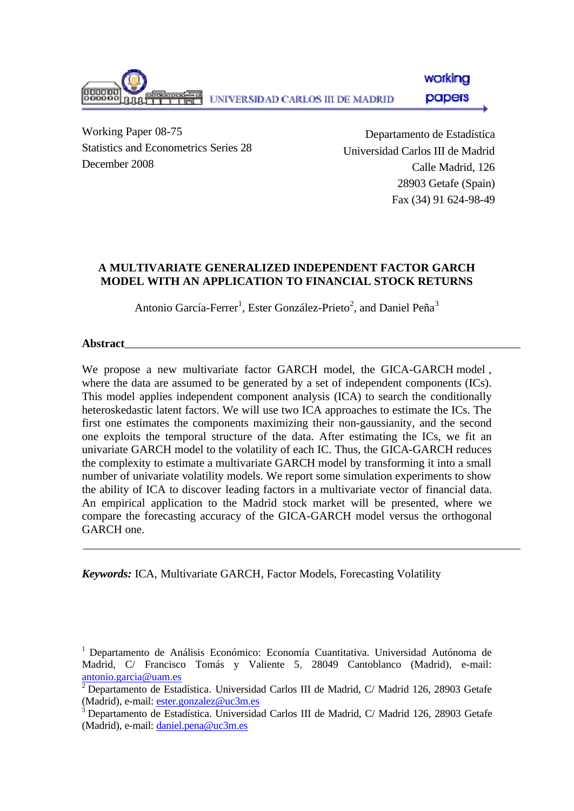

Working Paper 08-75 Statistics and Econometrics Series 28 December 2008

Departamento de Estadística Universidad Carlos III de Madrid Calle Madrid, 126 28903 Getafe (Spain) Fax (34) 91 624-98-49

# **A MULTIVARIATE GENERALIZED INDEPENDENT FACTOR GARCH MODEL WITH AN APPLICATION TO FINANCIAL STOCK RETURNS**

Antonio García-Ferrer<sup>1</sup>, Ester González-Prieto<sup>2</sup>, and Daniel Peña<sup>3</sup>

**Abstract**

We propose a new multivariate factor GARCH model, the GICA-GARCH model, where the data are assumed to be generated by a set of independent components (ICs). This model applies independent component analysis (ICA) to search the conditionally heteroskedastic latent factors. We will use two ICA approaches to estimate the ICs. The first one estimates the components maximizing their non-gaussianity, and the second one exploits the temporal structure of the data. After estimating the ICs, we fit an univariate GARCH model to the volatility of each IC. Thus, the GICA-GARCH reduces the complexity to estimate a multivariate GARCH model by transforming it into a small number of univariate volatility models. We report some simulation experiments to show the ability of ICA to discover leading factors in a multivariate vector of financial data. An empirical application to the Madrid stock market will be presented, where we compare the forecasting accuracy of the GICA-GARCH model versus the orthogonal GARCH one.

*Keywords:* ICA, Multivariate GARCH, Factor Models, Forecasting Volatility

<sup>1</sup> Departamento de Análisis Económico: Economía Cuantitativa. Universidad Autónoma de Madrid, C/ Francisco Tomás y Valiente 5, 28049 Cantoblanco (Madrid), e-mail: antonio.garcia@uam.es

 $^2$  Departamento de Estadística. Universidad Carlos III de Madrid, C/ Madrid 126, 28903 Getafe (Madrid), e-mail: ester.gonzalez@uc3m.es

<sup>3</sup> Departamento de Estadística. Universidad Carlos III de Madrid, C/ Madrid 126, 28903 Getafe (Madrid), e-mail: daniel.pena@uc3m.es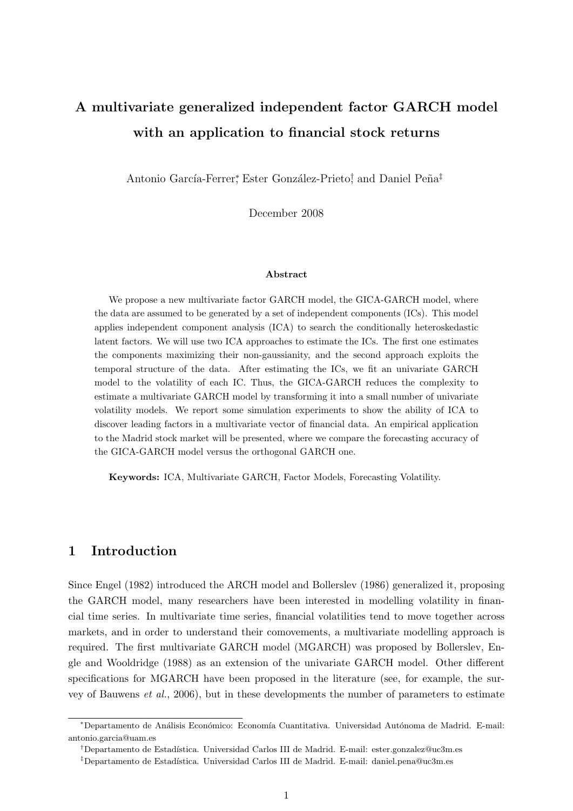# A multivariate generalized independent factor GARCH model with an application to financial stock returns

Antonio García-Ferrer<sup>\*</sup>, Ester González-Prieto<sup>†</sup> and Daniel Peña<sup>‡</sup>

December 2008

#### Abstract

We propose a new multivariate factor GARCH model, the GICA-GARCH model, where the data are assumed to be generated by a set of independent components (ICs). This model applies independent component analysis (ICA) to search the conditionally heteroskedastic latent factors. We will use two ICA approaches to estimate the ICs. The first one estimates the components maximizing their non-gaussianity, and the second approach exploits the temporal structure of the data. After estimating the ICs, we fit an univariate GARCH model to the volatility of each IC. Thus, the GICA-GARCH reduces the complexity to estimate a multivariate GARCH model by transforming it into a small number of univariate volatility models. We report some simulation experiments to show the ability of ICA to discover leading factors in a multivariate vector of financial data. An empirical application to the Madrid stock market will be presented, where we compare the forecasting accuracy of the GICA-GARCH model versus the orthogonal GARCH one.

Keywords: ICA, Multivariate GARCH, Factor Models, Forecasting Volatility.

# 1 Introduction

Since Engel (1982) introduced the ARCH model and Bollerslev (1986) generalized it, proposing the GARCH model, many researchers have been interested in modelling volatility in financial time series. In multivariate time series, financial volatilities tend to move together across markets, and in order to understand their comovements, a multivariate modelling approach is required. The first multivariate GARCH model (MGARCH) was proposed by Bollerslev, Engle and Wooldridge (1988) as an extension of the univariate GARCH model. Other different specifications for MGARCH have been proposed in the literature (see, for example, the survey of Bauwens et al., 2006), but in these developments the number of parameters to estimate

<sup>\*</sup>Departamento de Análisis Económico: Economía Cuantitativa. Universidad Autónoma de Madrid. E-mail: antonio.garcia@uam.es

<sup>†</sup>Departamento de Estad´ıstica. Universidad Carlos III de Madrid. E-mail: ester.gonzalez@uc3m.es

<sup>&</sup>lt;sup>‡</sup>Departamento de Estadística. Universidad Carlos III de Madrid. E-mail: daniel.pena@uc3m.es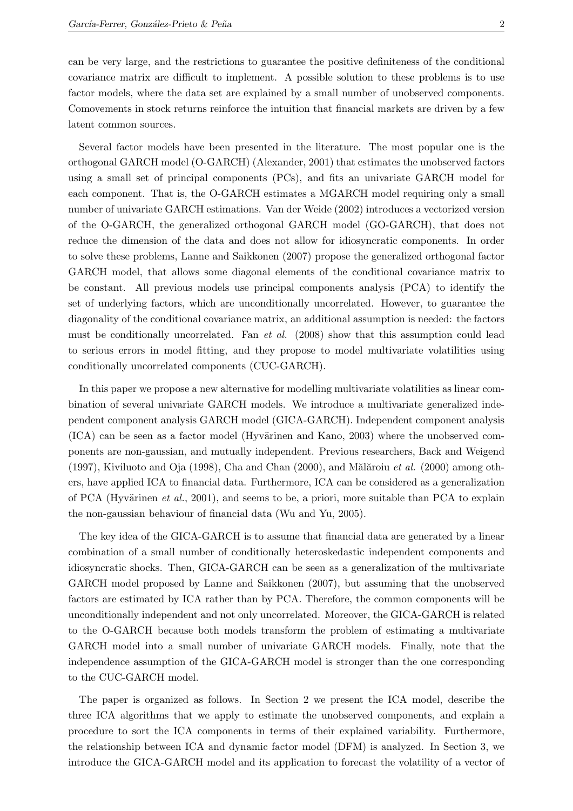can be very large, and the restrictions to guarantee the positive definiteness of the conditional covariance matrix are difficult to implement. A possible solution to these problems is to use factor models, where the data set are explained by a small number of unobserved components. Comovements in stock returns reinforce the intuition that financial markets are driven by a few latent common sources.

Several factor models have been presented in the literature. The most popular one is the orthogonal GARCH model (O-GARCH) (Alexander, 2001) that estimates the unobserved factors using a small set of principal components (PCs), and fits an univariate GARCH model for each component. That is, the O-GARCH estimates a MGARCH model requiring only a small number of univariate GARCH estimations. Van der Weide (2002) introduces a vectorized version of the O-GARCH, the generalized orthogonal GARCH model (GO-GARCH), that does not reduce the dimension of the data and does not allow for idiosyncratic components. In order to solve these problems, Lanne and Saikkonen (2007) propose the generalized orthogonal factor GARCH model, that allows some diagonal elements of the conditional covariance matrix to be constant. All previous models use principal components analysis (PCA) to identify the set of underlying factors, which are unconditionally uncorrelated. However, to guarantee the diagonality of the conditional covariance matrix, an additional assumption is needed: the factors must be conditionally uncorrelated. Fan et al. (2008) show that this assumption could lead to serious errors in model fitting, and they propose to model multivariate volatilities using conditionally uncorrelated components (CUC-GARCH).

In this paper we propose a new alternative for modelling multivariate volatilities as linear combination of several univariate GARCH models. We introduce a multivariate generalized independent component analysis GARCH model (GICA-GARCH). Independent component analysis  $(ICA)$  can be seen as a factor model (Hyvärinen and Kano, 2003) where the unobserved components are non-gaussian, and mutually independent. Previous researchers, Back and Weigend (1997), Kiviluoto and Oja (1998), Cha and Chan (2000), and Mălăroiu et al. (2000) among others, have applied ICA to financial data. Furthermore, ICA can be considered as a generalization of PCA (Hyvärinen *et al.*, 2001), and seems to be, a priori, more suitable than PCA to explain the non-gaussian behaviour of financial data (Wu and Yu, 2005).

The key idea of the GICA-GARCH is to assume that financial data are generated by a linear combination of a small number of conditionally heteroskedastic independent components and idiosyncratic shocks. Then, GICA-GARCH can be seen as a generalization of the multivariate GARCH model proposed by Lanne and Saikkonen (2007), but assuming that the unobserved factors are estimated by ICA rather than by PCA. Therefore, the common components will be unconditionally independent and not only uncorrelated. Moreover, the GICA-GARCH is related to the O-GARCH because both models transform the problem of estimating a multivariate GARCH model into a small number of univariate GARCH models. Finally, note that the independence assumption of the GICA-GARCH model is stronger than the one corresponding to the CUC-GARCH model.

The paper is organized as follows. In Section 2 we present the ICA model, describe the three ICA algorithms that we apply to estimate the unobserved components, and explain a procedure to sort the ICA components in terms of their explained variability. Furthermore, the relationship between ICA and dynamic factor model (DFM) is analyzed. In Section 3, we introduce the GICA-GARCH model and its application to forecast the volatility of a vector of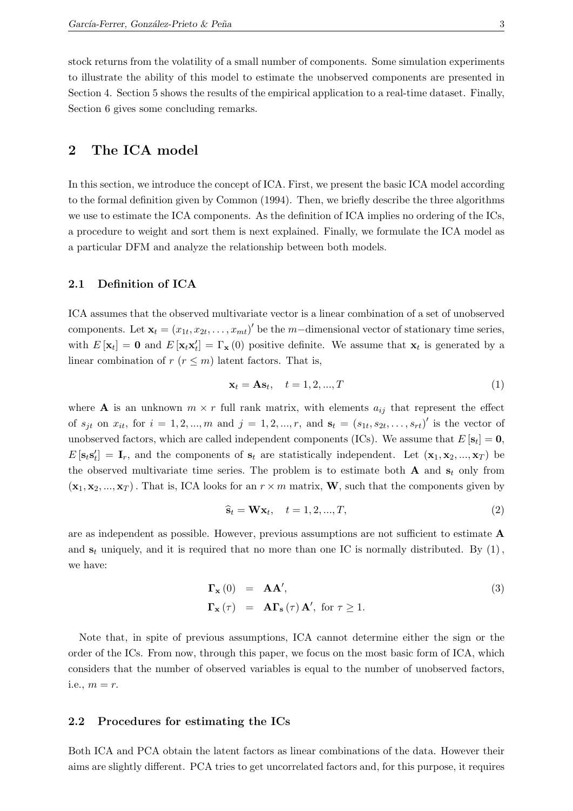stock returns from the volatility of a small number of components. Some simulation experiments to illustrate the ability of this model to estimate the unobserved components are presented in Section 4. Section 5 shows the results of the empirical application to a real-time dataset. Finally, Section 6 gives some concluding remarks.

# 2 The ICA model

In this section, we introduce the concept of ICA. First, we present the basic ICA model according to the formal definition given by Common (1994). Then, we briefly describe the three algorithms we use to estimate the ICA components. As the definition of ICA implies no ordering of the ICs, a procedure to weight and sort them is next explained. Finally, we formulate the ICA model as a particular DFM and analyze the relationship between both models.

#### 2.1 Definition of ICA

ICA assumes that the observed multivariate vector is a linear combination of a set of unobserved components. Let  $\mathbf{x}_t = (x_{1t}, x_{2t}, \dots, x_{mt})'$  be the m-dimensional vector of stationary time series, with  $E[\mathbf{x}_t] = \mathbf{0}$  and  $E[\mathbf{x}_t \mathbf{x}_t'] = \Gamma_{\mathbf{x}}(0)$  positive definite. We assume that  $\mathbf{x}_t$  is generated by a linear combination of  $r (r \leq m)$  latent factors. That is,

$$
\mathbf{x}_t = \mathbf{A}\mathbf{s}_t, \quad t = 1, 2, ..., T
$$
 (1)

where **A** is an unknown  $m \times r$  full rank matrix, with elements  $a_{ij}$  that represent the effect of  $s_{jt}$  on  $x_{it}$ , for  $i = 1, 2, ..., m$  and  $j = 1, 2, ..., r$ , and  $s_t = (s_{1t}, s_{2t}, ..., s_{rt})'$  is the vector of unobserved factors, which are called independent components (ICs). We assume that  $E[\mathbf{s}_t] = \mathbf{0}$ ,  $E[\mathbf{s}_t \mathbf{s}_t'] = \mathbf{I}_r$ , and the components of  $\mathbf{s}_t$  are statistically independent. Let  $(\mathbf{x}_1, \mathbf{x}_2, ..., \mathbf{x}_T)$  be the observed multivariate time series. The problem is to estimate both  $A$  and  $s_t$  only from  $(\mathbf{x}_1, \mathbf{x}_2, ..., \mathbf{x}_T)$ . That is, ICA looks for an  $r \times m$  matrix, **W**, such that the components given by

$$
\widehat{\mathbf{s}}_t = \mathbf{W} \mathbf{x}_t, \quad t = 1, 2, ..., T,
$$
\n
$$
(2)
$$

are as independent as possible. However, previous assumptions are not sufficient to estimate A and  $s_t$  uniquely, and it is required that no more than one IC is normally distributed. By (1), we have:

$$
\Gamma_{\mathbf{x}}(0) = \mathbf{A}\mathbf{A}',\n\Gamma_{\mathbf{x}}(\tau) = \mathbf{A}\Gamma_{\mathbf{s}}(\tau)\mathbf{A}', \text{ for } \tau \ge 1.
$$
\n(3)

Note that, in spite of previous assumptions, ICA cannot determine either the sign or the order of the ICs. From now, through this paper, we focus on the most basic form of ICA, which considers that the number of observed variables is equal to the number of unobserved factors, i.e.,  $m = r$ .

#### 2.2 Procedures for estimating the ICs

Both ICA and PCA obtain the latent factors as linear combinations of the data. However their aims are slightly different. PCA tries to get uncorrelated factors and, for this purpose, it requires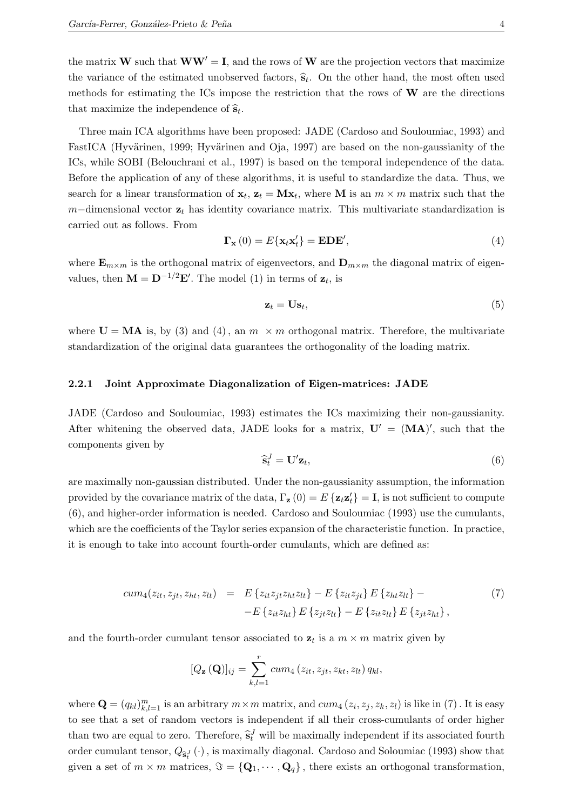the matrix **W** such that  $WW' = I$ , and the rows of **W** are the projection vectors that maximize the variance of the estimated unobserved factors,  $\hat{s}_t$ . On the other hand, the most often used methods for estimating the ICs impose the restriction that the rows of  $W$  are the directions that maximize the independence of  $\hat{\mathbf{s}}_t$ .

Three main ICA algorithms have been proposed: JADE (Cardoso and Souloumiac, 1993) and FastICA (Hyvärinen, 1999; Hyvärinen and Oja, 1997) are based on the non-gaussianity of the ICs, while SOBI (Belouchrani et al., 1997) is based on the temporal independence of the data. Before the application of any of these algorithms, it is useful to standardize the data. Thus, we search for a linear transformation of  $\mathbf{x}_t$ ,  $\mathbf{z}_t = \mathbf{M}\mathbf{x}_t$ , where **M** is an  $m \times m$  matrix such that the m–dimensional vector  $z_t$  has identity covariance matrix. This multivariate standardization is carried out as follows. From

$$
\Gamma_{\mathbf{x}}(0) = E\{\mathbf{x}_t \mathbf{x}_t'\} = \mathbf{EDE}',\tag{4}
$$

where  $\mathbf{E}_{m \times m}$  is the orthogonal matrix of eigenvectors, and  $\mathbf{D}_{m \times m}$  the diagonal matrix of eigenvalues, then  $\mathbf{M} = \mathbf{D}^{-1/2} \mathbf{E}'$ . The model (1) in terms of  $\mathbf{z}_t$ , is

$$
\mathbf{z}_t = \mathbf{U}\mathbf{s}_t,\tag{5}
$$

where  $U = MA$  is, by (3) and (4), an  $m \times m$  orthogonal matrix. Therefore, the multivariate standardization of the original data guarantees the orthogonality of the loading matrix.

#### 2.2.1 Joint Approximate Diagonalization of Eigen-matrices: JADE

JADE (Cardoso and Souloumiac, 1993) estimates the ICs maximizing their non-gaussianity. After whitening the observed data, JADE looks for a matrix,  $U' = (MA)'$ , such that the components given by

$$
\widehat{\mathbf{s}}_t^J = \mathbf{U}' \mathbf{z}_t,\tag{6}
$$

are maximally non-gaussian distributed. Under the non-gaussianity assumption, the information provided by the covariance matrix of the data,  $\Gamma_{\mathbf{z}}(0) = E\left\{ \mathbf{z}_t \mathbf{z}_t' \right\} = \mathbf{I}$ , is not sufficient to compute (6), and higher-order information is needed. Cardoso and Souloumiac (1993) use the cumulants, which are the coefficients of the Taylor series expansion of the characteristic function. In practice, it is enough to take into account fourth-order cumulants, which are defined as:

$$
cum_4(z_{it}, z_{jt}, z_{ht}, z_{lt}) = E\{z_{it}z_{jt}z_{ht}z_{lt}\} - E\{z_{it}z_{jt}\}E\{z_{ht}z_{lt}\} - E\{z_{it}z_{ht}\}E\{z_{jt}z_{ht}\} - E\{z_{it}z_{ht}\}E\{z_{jt}z_{ht}\},
$$
\n(7)

and the fourth-order cumulant tensor associated to  $z_t$  is a  $m \times m$  matrix given by

$$
[Q_{\mathbf{z}}(\mathbf{Q})]_{ij} = \sum_{k,l=1}^{r} cum_4(z_{it}, z_{jt}, z_{kt}, z_{lt}) q_{kl},
$$

where  $\mathbf{Q} = (q_{kl})_{k,l=1}^m$  is an arbitrary  $m \times m$  matrix, and  $cum_4(z_i, z_j, z_k, z_l)$  is like in (7). It is easy to see that a set of random vectors is independent if all their cross-cumulants of order higher than two are equal to zero. Therefore,  $\hat{\mathbf{s}}_t^J$  will be maximally independent if its associated fourth order cumulant tensor,  $Q_{\hat{\mathbf{s}}_t^J}(\cdot)$ , is maximally diagonal. Cardoso and Soloumiac (1993) show that given a set of  $m \times m$  matrices,  $\Im = {\bf Q}_1, \cdots, {\bf Q}_q$ , there exists an orthogonal transformation,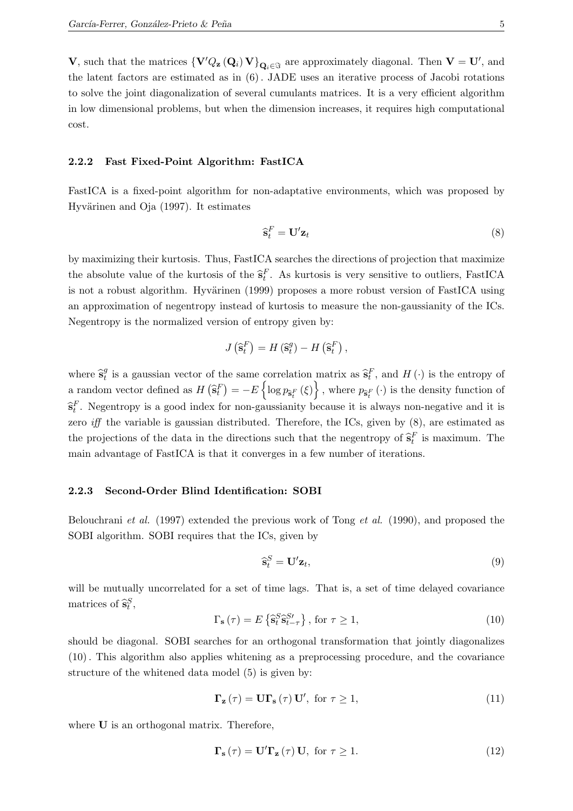**V**, such that the matrices  ${\bf V}'Q_z({\bf Q}_i) {\bf V}$ ,  ${\bf Q}_{i \in \Im}$  are approximately diagonal. Then  ${\bf V} = {\bf U}'$ , and the latent factors are estimated as in (6). JADE uses an iterative process of Jacobi rotations to solve the joint diagonalization of several cumulants matrices. It is a very efficient algorithm in low dimensional problems, but when the dimension increases, it requires high computational cost.

#### 2.2.2 Fast Fixed-Point Algorithm: FastICA

FastICA is a fixed-point algorithm for non-adaptative environments, which was proposed by Hyvärinen and Oja (1997). It estimates

$$
\widehat{\mathbf{s}}_t^F = \mathbf{U}' \mathbf{z}_t \tag{8}
$$

by maximizing their kurtosis. Thus, FastICA searches the directions of projection that maximize the absolute value of the kurtosis of the  $\hat{\mathbf{s}}_t^F$ . As kurtosis is very sensitive to outliers, FastICA is not a robust algorithm. Hyvärinen (1999) proposes a more robust version of FastICA using an approximation of negentropy instead of kurtosis to measure the non-gaussianity of the ICs. Negentropy is the normalized version of entropy given by:

$$
J\left(\widehat{\mathbf{s}}_t^F\right) = H\left(\widehat{\mathbf{s}}_t^g\right) - H\left(\widehat{\mathbf{s}}_t^F\right),\,
$$

where  $\hat{\mathbf{s}}_t^g$ <sup>q</sup> is a gaussian vector of the same correlation matrix as  $\hat{\mathbf{s}}_t^F$ , and  $H(\cdot)$  is the entropy of a random vector defined as  $H\left(\hat{\mathbf{s}}_t^F\right) = -E\left\{\log p_{\hat{\mathbf{s}}_t^F}\left(\xi\right)\right\}$ , where  $p_{\hat{\mathbf{s}}_t^F}\left(\cdot\right)$  is the density function of  $\hat{\mathbf{s}}_t^F$ . Negentropy is a good index for non-gaussianity because it is always non-negative and it is zero *iff* the variable is gaussian distributed. Therefore, the ICs, given by  $(8)$ , are estimated as the projections of the data in the directions such that the negentropy of  $\hat{\mathbf{s}}_t^F$  is maximum. The main advantage of FastICA is that it converges in a few number of iterations.

#### 2.2.3 Second-Order Blind Identification: SOBI

Belouchrani et al. (1997) extended the previous work of Tong et al. (1990), and proposed the SOBI algorithm. SOBI requires that the ICs, given by

$$
\widehat{\mathbf{s}}_t^S = \mathbf{U}' \mathbf{z}_t,\tag{9}
$$

will be mutually uncorrelated for a set of time lags. That is, a set of time delayed covariance matrices of  $\hat{\mathbf{s}}_t^S$ ,

$$
\Gamma_{\mathbf{s}}\left(\tau\right) = E\left\{\hat{\mathbf{s}}_{t}^{S}\hat{\mathbf{s}}_{t-\tau}^{S\prime}\right\}, \text{ for } \tau \ge 1,
$$
\n
$$
(10)
$$

should be diagonal. SOBI searches for an orthogonal transformation that jointly diagonalizes (10). This algorithm also applies whitening as a preprocessing procedure, and the covariance structure of the whitened data model (5) is given by:

$$
\Gamma_{\mathbf{z}}\left(\tau\right) = \mathbf{U}\Gamma_{\mathbf{s}}\left(\tau\right)\mathbf{U}', \text{ for } \tau \ge 1,
$$
\n(11)

where **U** is an orthogonal matrix. Therefore,

$$
\Gamma_{\mathbf{s}}\left(\tau\right) = \mathbf{U}' \mathbf{\Gamma}_{\mathbf{z}}\left(\tau\right) \mathbf{U}, \text{ for } \tau \ge 1. \tag{12}
$$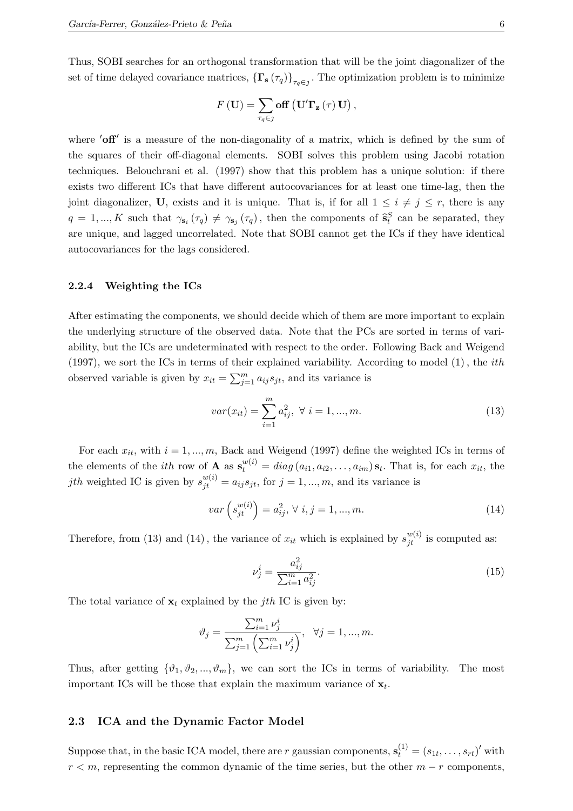Thus, SOBI searches for an orthogonal transformation that will be the joint diagonalizer of the set of time delayed covariance matrices,  $\{\Gamma_{s}(\tau_q)\}_{\tau_q\in\mathcal{I}}$ . The optimization problem is to minimize

$$
F(\mathbf{U}) = \sum_{\tau_q \in \mathcal{I}} \mathbf{off} \left( \mathbf{U}' \mathbf{\Gamma}_{\mathbf{z}} \left( \tau \right) \mathbf{U} \right),
$$

where 'off' is a measure of the non-diagonality of a matrix, which is defined by the sum of the squares of their off-diagonal elements. SOBI solves this problem using Jacobi rotation techniques. Belouchrani et al. (1997) show that this problem has a unique solution: if there exists two different ICs that have different autocovariances for at least one time-lag, then the joint diagonalizer, U, exists and it is unique. That is, if for all  $1 \leq i \neq j \leq r$ , there is any  $q = 1, ..., K$  such that  $\gamma_{s_i}(\tau_q) \neq \gamma_{s_j}(\tau_q)$ , then the components of  $\hat{s}_i^S$  can be separated, they are unique, and lagged uncorrelated. Note that SOBI cannot get the ICs if they have identical autocovariances for the lags considered.

#### 2.2.4 Weighting the ICs

After estimating the components, we should decide which of them are more important to explain the underlying structure of the observed data. Note that the PCs are sorted in terms of variability, but the ICs are undeterminated with respect to the order. Following Back and Weigend (1997), we sort the ICs in terms of their explained variability. According to model (1) , the ith observed variable is given by  $x_{it} = \sum_{j=1}^{m} a_{ij} s_{jt}$ , and its variance is

$$
var(x_{it}) = \sum_{i=1}^{m} a_{ij}^2, \ \forall \ i = 1, ..., m.
$$
 (13)

For each  $x_{it}$ , with  $i = 1, ..., m$ , Back and Weigend (1997) define the weighted ICs in terms of the elements of the *ith* row of **A** as  $\mathbf{s}_t^{w(i)} = diag(a_{i1}, a_{i2}, \ldots, a_{im}) \mathbf{s}_t$ . That is, for each  $x_{it}$ , the jth weighted IC is given by  $s_{jt}^{w(i)} = a_{ij}s_{jt}$ , for  $j = 1, ..., m$ , and its variance is

$$
var\left(s_{jt}^{w(i)}\right) = a_{ij}^2, \forall i, j = 1, ..., m.
$$
\n(14)

Therefore, from (13) and (14), the variance of  $x_{it}$  which is explained by  $s_{jt}^{w(i)}$  is computed as:

$$
\nu_j^i = \frac{a_{ij}^2}{\sum_{i=1}^m a_{ij}^2}.\tag{15}
$$

The total variance of  $x_t$  explained by the *j*th IC is given by:

$$
\vartheta_j = \frac{\sum_{i=1}^m \nu_j^i}{\sum_{j=1}^m \left(\sum_{i=1}^m \nu_j^i\right)}, \quad \forall j = 1,...,m.
$$

Thus, after getting  $\{\vartheta_1, \vartheta_2, ..., \vartheta_m\}$ , we can sort the ICs in terms of variability. The most important ICs will be those that explain the maximum variance of  $\mathbf{x}_t$ .

#### 2.3 ICA and the Dynamic Factor Model

Suppose that, in the basic ICA model, there are r gaussian components,  $\mathbf{s}_t^{(1)} = (s_{1t}, \ldots, s_{rt})'$  with  $r < m$ , representing the common dynamic of the time series, but the other  $m - r$  components,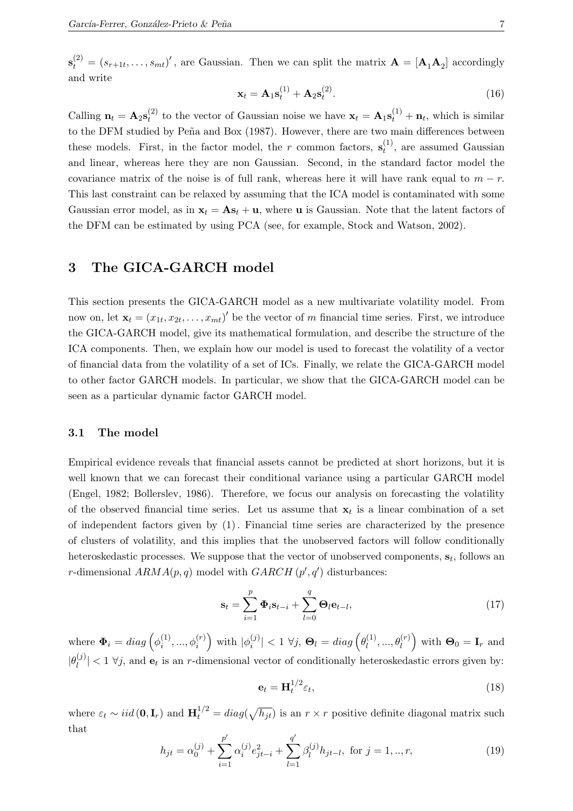$\mathbf{s}_{t}^{(2)} = (s_{r+1t}, \ldots, s_{mt})'$ , are Gaussian. Then we can split the matrix  $\mathbf{A} = [\mathbf{A}_1 \mathbf{A}_2]$  accordingly and write

$$
\mathbf{x}_t = \mathbf{A}_1 \mathbf{s}_t^{(1)} + \mathbf{A}_2 \mathbf{s}_t^{(2)}.
$$
 (16)

Calling  $n_t = A_2 s_t^{(2)}$ <sup>(2)</sup> to the vector of Gaussian noise we have  $\mathbf{x}_t = \mathbf{A}_1 \mathbf{s}_t^{(1)} + \mathbf{n}_t$ , which is similar to the DFM studied by Peña and Box (1987). However, there are two main differences between these models. First, in the factor model, the r common factors,  $\mathbf{s}_t^{(1)}$  $t^{(1)}$ , are assumed Gaussian and linear, whereas here they are non Gaussian. Second, in the standard factor model the covariance matrix of the noise is of full rank, whereas here it will have rank equal to  $m - r$ . This last constraint can be relaxed by assuming that the ICA model is contaminated with some Gaussian error model, as in  $x_t = As_t + u$ , where **u** is Gaussian. Note that the latent factors of the DFM can be estimated by using PCA (see, for example, Stock and Watson, 2002).

# 3 The GICA-GARCH model

This section presents the GICA-GARCH model as a new multivariate volatility model. From now on, let  $\mathbf{x}_t = (x_{1t}, x_{2t}, \dots, x_{mt})'$  be the vector of m financial time series. First, we introduce the GICA-GARCH model, give its mathematical formulation, and describe the structure of the ICA components. Then, we explain how our model is used to forecast the volatility of a vector of financial data from the volatility of a set of ICs. Finally, we relate the GICA-GARCH model to other factor GARCH models. In particular, we show that the GICA-GARCH model can be seen as a particular dynamic factor GARCH model.

#### 3.1 The model

Empirical evidence reveals that financial assets cannot be predicted at short horizons, but it is well known that we can forecast their conditional variance using a particular GARCH model (Engel, 1982; Bollerslev, 1986). Therefore, we focus our analysis on forecasting the volatility of the observed financial time series. Let us assume that  $x_t$  is a linear combination of a set of independent factors given by (1). Financial time series are characterized by the presence of clusters of volatility, and this implies that the unobserved factors will follow conditionally heteroskedastic processes. We suppose that the vector of unobserved components,  $s_t$ , follows an r-dimensional  $ARMA(p, q)$  model with  $GARCH(p', q')$  disturbances:

$$
\mathbf{s}_t = \sum_{i=1}^p \mathbf{\Phi}_i \mathbf{s}_{t-i} + \sum_{l=0}^q \mathbf{\Theta}_l \mathbf{e}_{t-l},
$$
\n(17)

where  $\mathbf{\Phi}_i = diag\left(\phi_i^{(1)}\right)$  $\left(\begin{matrix} 1\\i \end{matrix}\right),...,\phi_{i}^{(r)}$  with  $|\phi_{i}^{(j)}\rangle$  $\left|\frac{\dot{y}}{i}\right|$  < 1  $\forall j$ ,  $\mathbf{\Theta}_{l} = diag\left(\theta_{l}^{(1)}\right)$  $\theta_l^{(1)}, \ldots, \theta_l^{(r)}$  with  $\mathbf{\Theta}_0 = \mathbf{I}_r$  and  $|\theta_l^{(j)}\>$  $\vert v_i^{(j)} \vert < 1$   $\forall j$ , and  $\mathbf{e}_t$  is an r-dimensional vector of conditionally heteroskedastic errors given by:

$$
\mathbf{e}_t = \mathbf{H}_t^{1/2} \varepsilon_t,\tag{18}
$$

where  $\varepsilon_t \sim iid(\mathbf{0}, \mathbf{I}_r)$  and  $\mathbf{H}_t^{1/2} = diag(\sqrt{h_{jt}})$  is an  $r \times r$  positive definite diagonal matrix such that

$$
h_{jt} = \alpha_0^{(j)} + \sum_{i=1}^{p'} \alpha_i^{(j)} e_{jt-i}^2 + \sum_{l=1}^{q'} \beta_l^{(j)} h_{jt-l}, \text{ for } j = 1, ..., r,
$$
 (19)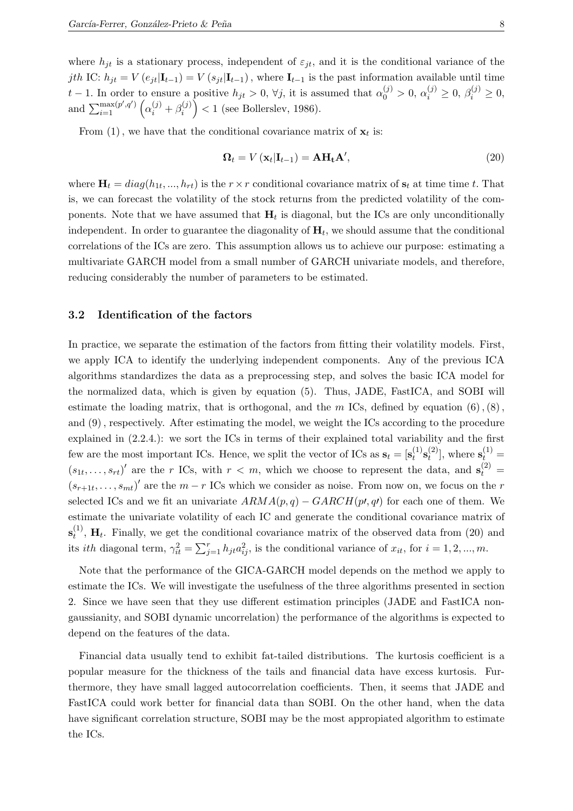where  $h_{it}$  is a stationary process, independent of  $\varepsilon_{it}$ , and it is the conditional variance of the jth IC:  $h_{jt} = V(e_{jt}|\mathbf{I}_{t-1}) = V(s_{jt}|\mathbf{I}_{t-1})$ , where  $\mathbf{I}_{t-1}$  is the past information available until time t − 1. In order to ensure a positive  $h_{jt} > 0$ ,  $\forall j$ , it is assumed that  $\alpha_0^{(j)} > 0$ ,  $\alpha_i^{(j)} \ge 0$ ,  $\beta_i^{(j)} \ge 0$ , and  $\sum_{i=1}^{\max(p',q')}\left(\alpha_i^{(j)}+\beta_i^{(j)}\right)$  $\binom{f^{(j)}}{i}$  < 1 (see Bollerslev, 1986).

From  $(1)$ , we have that the conditional covariance matrix of  $\mathbf{x}_t$  is:

$$
\Omega_t = V(\mathbf{x}_t | \mathbf{I}_{t-1}) = \mathbf{A} \mathbf{H}_t \mathbf{A}',\tag{20}
$$

where  $\mathbf{H}_t = diag(h_{1t},..., h_{rt})$  is the  $r \times r$  conditional covariance matrix of  $\mathbf{s}_t$  at time time t. That is, we can forecast the volatility of the stock returns from the predicted volatility of the components. Note that we have assumed that  $H_t$  is diagonal, but the ICs are only unconditionally independent. In order to guarantee the diagonality of  $H_t$ , we should assume that the conditional correlations of the ICs are zero. This assumption allows us to achieve our purpose: estimating a multivariate GARCH model from a small number of GARCH univariate models, and therefore, reducing considerably the number of parameters to be estimated.

#### 3.2 Identification of the factors

In practice, we separate the estimation of the factors from fitting their volatility models. First, we apply ICA to identify the underlying independent components. Any of the previous ICA algorithms standardizes the data as a preprocessing step, and solves the basic ICA model for the normalized data, which is given by equation (5). Thus, JADE, FastICA, and SOBI will estimate the loading matrix, that is orthogonal, and the m ICs, defined by equation  $(6)$ ,  $(8)$ , and (9), respectively. After estimating the model, we weight the ICs according to the procedure explained in (2.2.4.): we sort the ICs in terms of their explained total variability and the first few are the most important ICs. Hence, we split the vector of ICs as  $\mathbf{s}_t = [\mathbf{s}_t^{(1)}]$  $\mathbf{s}_t^{(1)}\mathbf{s}_t^{(2)}$  $t_t^{(2)}$ , where  $s_t^{(1)} =$  $(s_{1t},...,s_{rt})'$  are the r ICs, with  $r < m$ , which we choose to represent the data, and  $\mathbf{s}_t^{(2)} =$  $(s_{r+1},\ldots,s_{mt})'$  are the  $m-r$  ICs which we consider as noise. From now on, we focus on the r selected ICs and we fit an univariate  $ARMA(p, q) - GARCH(p', q')$  for each one of them. We estimate the univariate volatility of each IC and generate the conditional covariance matrix of  $\mathbf{s}_t^{(1)}$  $t<sup>(1)</sup>$ , **H**<sub>t</sub>. Finally, we get the conditional covariance matrix of the observed data from (20) and its *ith* diagonal term,  $\gamma_{it}^2 = \sum_{j=1}^r h_{jt} a_{ij}^2$ , is the conditional variance of  $x_{it}$ , for  $i = 1, 2, ..., m$ .

Note that the performance of the GICA-GARCH model depends on the method we apply to estimate the ICs. We will investigate the usefulness of the three algorithms presented in section 2. Since we have seen that they use different estimation principles (JADE and FastICA nongaussianity, and SOBI dynamic uncorrelation) the performance of the algorithms is expected to depend on the features of the data.

Financial data usually tend to exhibit fat-tailed distributions. The kurtosis coefficient is a popular measure for the thickness of the tails and financial data have excess kurtosis. Furthermore, they have small lagged autocorrelation coefficients. Then, it seems that JADE and FastICA could work better for financial data than SOBI. On the other hand, when the data have significant correlation structure, SOBI may be the most appropiated algorithm to estimate the ICs.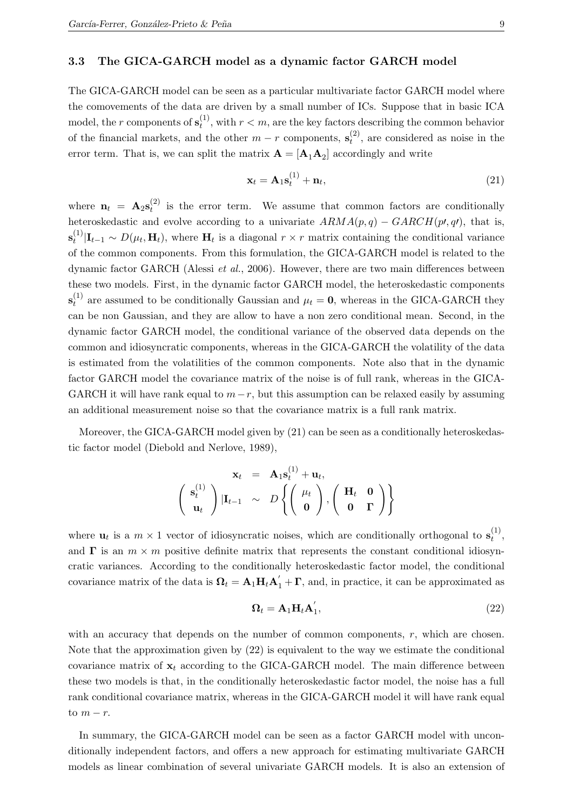#### 3.3 The GICA-GARCH model as a dynamic factor GARCH model

The GICA-GARCH model can be seen as a particular multivariate factor GARCH model where the comovements of the data are driven by a small number of ICs. Suppose that in basic ICA model, the r components of  $\mathbf{s}_t^{(1)}$  $t^{(1)}$ , with  $r < m$ , are the key factors describing the common behavior of the financial markets, and the other  $m - r$  components,  $\mathbf{s}_t^{(2)}$  $t^{(2)}$ , are considered as noise in the error term. That is, we can split the matrix  $\mathbf{A} = [\mathbf{A}_1 \mathbf{A}_2]$  accordingly and write

$$
\mathbf{x}_t = \mathbf{A}_1 \mathbf{s}_t^{(1)} + \mathbf{n}_t,\tag{21}
$$

where  $\mathbf{n}_t = \mathbf{A}_2 \mathbf{s}_t^{(2)}$  $t_t^{(2)}$  is the error term. We assume that common factors are conditionally heteroskedastic and evolve according to a univariate  $ARMA(p, q) - GARCH(p, q)$ , that is,  $\mathbf{s}_t^{(1)}$  $t_t^{(1)}$ ,  $\mathbf{I}_{t-1} \sim D(\mu_t, \mathbf{H}_t)$ , where  $\mathbf{H}_t$  is a diagonal  $r \times r$  matrix containing the conditional variance of the common components. From this formulation, the GICA-GARCH model is related to the dynamic factor GARCH (Alessi et al., 2006). However, there are two main differences between these two models. First, in the dynamic factor GARCH model, the heteroskedastic components  $\mathbf{s}_t^{(1)}$  $t_t^{(1)}$  are assumed to be conditionally Gaussian and  $\mu_t = 0$ , whereas in the GICA-GARCH they can be non Gaussian, and they are allow to have a non zero conditional mean. Second, in the dynamic factor GARCH model, the conditional variance of the observed data depends on the common and idiosyncratic components, whereas in the GICA-GARCH the volatility of the data is estimated from the volatilities of the common components. Note also that in the dynamic factor GARCH model the covariance matrix of the noise is of full rank, whereas in the GICA-GARCH it will have rank equal to  $m-r$ , but this assumption can be relaxed easily by assuming an additional measurement noise so that the covariance matrix is a full rank matrix.

Moreover, the GICA-GARCH model given by (21) can be seen as a conditionally heteroskedastic factor model (Diebold and Nerlove, 1989),

$$
\mathbf{x}_t = \mathbf{A}_1 \mathbf{s}_t^{(1)} + \mathbf{u}_t, \n\left( \begin{array}{c} \mathbf{s}_t^{(1)} \\ \mathbf{u}_t \end{array} \right) | \mathbf{I}_{t-1} \sim D \left\{ \left( \begin{array}{c} \mu_t \\ \mathbf{0} \end{array} \right), \left( \begin{array}{cc} \mathbf{H}_t & \mathbf{0} \\ \mathbf{0} & \mathbf{\Gamma} \end{array} \right) \right\}
$$

where  $\mathbf{u}_t$  is a  $m \times 1$  vector of idiosyncratic noises, which are conditionally orthogonal to  $\mathbf{s}_t^{(1)}$  $\stackrel{(1)}{t},$ and  $\Gamma$  is an  $m \times m$  positive definite matrix that represents the constant conditional idiosyncratic variances. According to the conditionally heteroskedastic factor model, the conditional covariance matrix of the data is  $\mathbf{\Omega}_t = \mathbf{A}_1 \mathbf{H}_t \mathbf{A}'_1 + \mathbf{\Gamma}$ , and, in practice, it can be approximated as

$$
\mathbf{\Omega}_t = \mathbf{A}_1 \mathbf{H}_t \mathbf{A}_1',\tag{22}
$$

with an accuracy that depends on the number of common components, r, which are chosen. Note that the approximation given by (22) is equivalent to the way we estimate the conditional covariance matrix of  $x_t$  according to the GICA-GARCH model. The main difference between these two models is that, in the conditionally heteroskedastic factor model, the noise has a full rank conditional covariance matrix, whereas in the GICA-GARCH model it will have rank equal to  $m - r$ .

In summary, the GICA-GARCH model can be seen as a factor GARCH model with unconditionally independent factors, and offers a new approach for estimating multivariate GARCH models as linear combination of several univariate GARCH models. It is also an extension of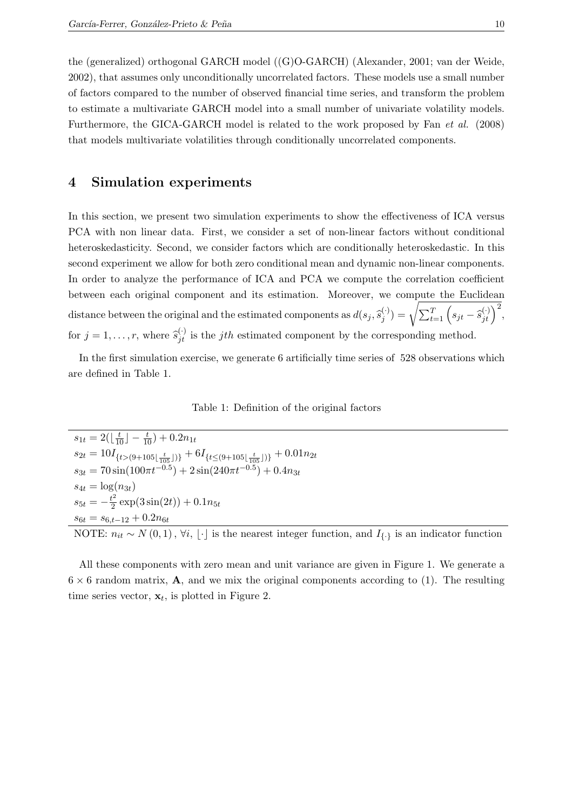the (generalized) orthogonal GARCH model ((G)O-GARCH) (Alexander, 2001; van der Weide, 2002), that assumes only unconditionally uncorrelated factors. These models use a small number of factors compared to the number of observed financial time series, and transform the problem to estimate a multivariate GARCH model into a small number of univariate volatility models. Furthermore, the GICA-GARCH model is related to the work proposed by Fan et al. (2008) that models multivariate volatilities through conditionally uncorrelated components.

### 4 Simulation experiments

In this section, we present two simulation experiments to show the effectiveness of ICA versus PCA with non linear data. First, we consider a set of non-linear factors without conditional heteroskedasticity. Second, we consider factors which are conditionally heteroskedastic. In this second experiment we allow for both zero conditional mean and dynamic non-linear components. In order to analyze the performance of ICA and PCA we compute the correlation coefficient between each original component and its estimation. Moreover, we compute the Euclidean distance between the original and the estimated components as  $d(s_j, \widehat{s}_j^{(\cdot)})$  $\binom{(\cdot)}{j} = \sqrt{\sum_{t=1}^{T} \left( s_{jt} - \widehat{s}_{jt}^{(\cdot)} \right)^2},$ for  $j = 1, ..., r$ , where  $\hat{s}_{jt}^{(\cdot)}$  is the *jth* estimated component by the corresponding method.

In the first simulation exercise, we generate 6 artificially time series of 528 observations which are defined in Table 1.

Table 1: Definition of the original factors

 $s_{1t} = 2(\lfloor \frac{t}{10} \rfloor - \frac{t}{10}) + 0.2n_{1t}$  $s_{2t} = 10I_{\{t>(9+105\lfloor\frac{t}{105}\rfloor)\}} + 6I_{\{t \leq (9+105\lfloor\frac{t}{105}\rfloor)\}} + 0.01n_{2t}$  $s_{3t} = 70\sin(100\pi t^{-0.5}) + 2\sin(240\pi t^{-0.5}) + 0.4n_{3t}$  $s_{4t} = \log(n_{3t})$  $s_{5t} = -\frac{t^2}{2}$  $\frac{t^2}{2}$  exp(3 sin(2t)) + 0.1n<sub>5t</sub>  $s_{6t} = s_{6,t-12} + 0.2n_{6t}$ 

NOTE:  $n_{it} \sim N(0, 1), \forall i, \lfloor \cdot \rfloor$  is the nearest integer function, and  $I_{\{\cdot\}}$  is an indicator function

All these components with zero mean and unit variance are given in Figure 1. We generate a  $6 \times 6$  random matrix, **A**, and we mix the original components according to (1). The resulting time series vector,  $\mathbf{x}_t$ , is plotted in Figure 2.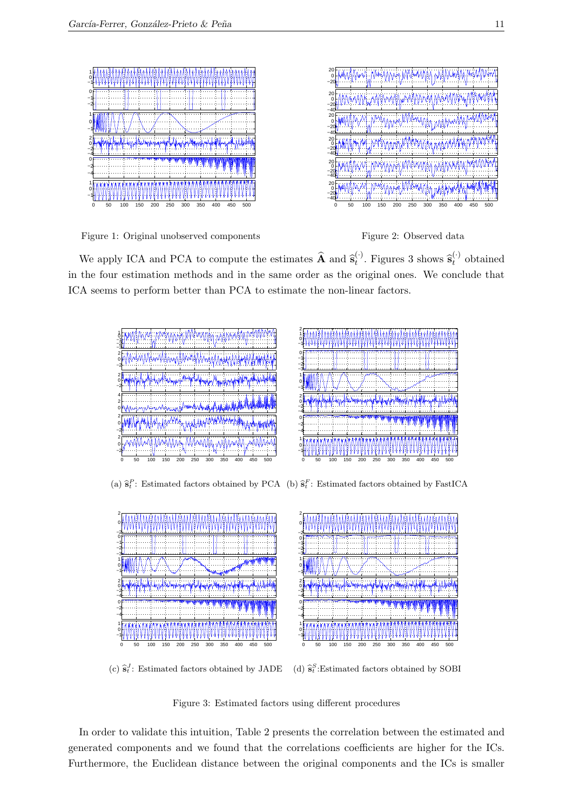

Figure 1: Original unobserved components



We apply ICA and PCA to compute the estimates  $\hat{\mathbf{A}}$  and  $\hat{\mathbf{s}}_t^{(\cdot)}$ <sup>(.)</sup>. Figures 3 shows  $\hat{\mathbf{s}}_t^{(\cdot)}$  $t<sup>0</sup>$  obtained in the four estimation methods and in the same order as the original ones. We conclude that ICA seems to perform better than PCA to estimate the non-linear factors.



(a)  $\hat{\mathbf{s}}_t^P$ : Estimated factors obtained by PCA (b)  $\hat{\mathbf{s}}_t^F$ : Estimated factors obtained by FastICA



(c)  $\hat{\mathbf{s}}_t^J$ : Estimated factors obtained by JADE (d)  $\hat{\mathbf{s}}_t^S$ :Estimated factors obtained by SOBI

Figure 3: Estimated factors using different procedures

In order to validate this intuition, Table 2 presents the correlation between the estimated and generated components and we found that the correlations coefficients are higher for the ICs. Furthermore, the Euclidean distance between the original components and the ICs is smaller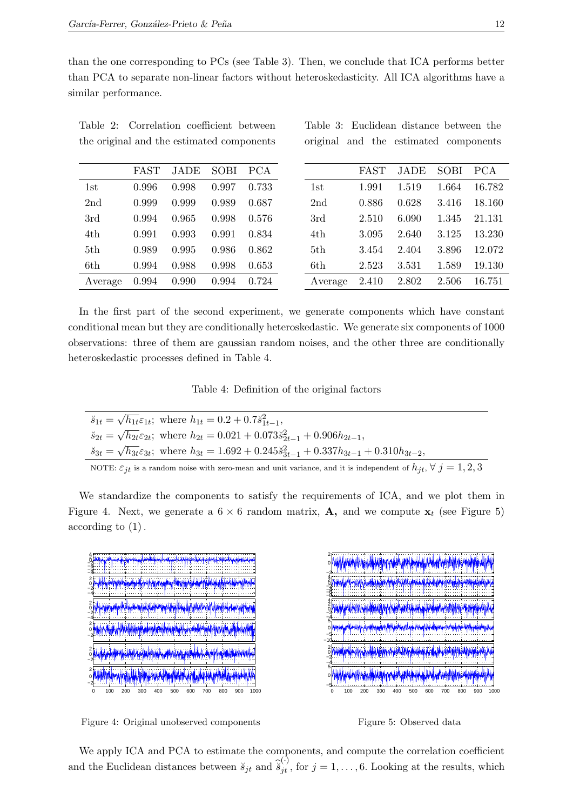than the one corresponding to PCs (see Table 3). Then, we conclude that ICA performs better than PCA to separate non-linear factors without heteroskedasticity. All ICA algorithms have a similar performance.

| Table 2: Correlation coefficient between  |  |  |  |  |  |
|-------------------------------------------|--|--|--|--|--|
| the original and the estimated components |  |  |  |  |  |

|  |  | Table 3: Euclidean distance between the |  |
|--|--|-----------------------------------------|--|
|  |  | original and the estimated components   |  |

|         | FAST  | JADE  | SOBI  | - PCA |         | FAST  | JADE  | <b>SOBI</b> | PCA    |
|---------|-------|-------|-------|-------|---------|-------|-------|-------------|--------|
| 1st     | 0.996 | 0.998 | 0.997 | 0.733 | 1st     | 1.991 | 1.519 | 1.664       | 16.782 |
| 2nd     | 0.999 | 0.999 | 0.989 | 0.687 | 2nd     | 0.886 | 0.628 | 3.416       | 18.160 |
| 3rd     | 0.994 | 0.965 | 0.998 | 0.576 | 3rd     | 2.510 | 6.090 | 1.345       | 21.131 |
| 4th     | 0.991 | 0.993 | 0.991 | 0.834 | 4th     | 3.095 | 2.640 | 3.125       | 13.230 |
| 5th     | 0.989 | 0.995 | 0.986 | 0.862 | 5th     | 3.454 | 2.404 | 3.896       | 12.072 |
| 6th     | 0.994 | 0.988 | 0.998 | 0.653 | 6th     | 2.523 | 3.531 | 1.589       | 19.130 |
| Average | 0.994 | 0.990 | 0.994 | 0.724 | Average | 2.410 | 2.802 | 2.506       | 16.751 |

In the first part of the second experiment, we generate components which have constant conditional mean but they are conditionally heteroskedastic. We generate six components of 1000 observations: three of them are gaussian random noises, and the other three are conditionally heteroskedastic processes defined in Table 4.

Table 4: Definition of the original factors

| $\breve{s}_{1t} = \sqrt{h_{1t}} \varepsilon_{1t}$ ; where $h_{1t} = 0.2 + 0.7 \breve{s}_{1t-1}^2$ ,                                     |
|-----------------------------------------------------------------------------------------------------------------------------------------|
| $\breve{s}_{2t} = \sqrt{h_{2t}} \varepsilon_{2t}$ ; where $h_{2t} = 0.021 + 0.073 \breve{s}_{2t-1}^2 + 0.906 h_{2t-1}$ ,                |
| $\ddot{s}_{3t} = \sqrt{h_{3t}} \varepsilon_{3t}$ ; where $h_{3t} = 1.692 + 0.245 \ddot{s}_{3t-1}^2 + 0.337 h_{3t-1} + 0.310 h_{3t-2}$ , |
| NOTE: $\varepsilon_{jt}$ is a random noise with zero-mean and unit variance, and it is independent of $h_{it}$ , $\forall j = 1, 2, 3$  |

We standardize the components to satisfy the requirements of ICA, and we plot them in Figure 4. Next, we generate a  $6 \times 6$  random matrix, **A**, and we compute  $\mathbf{x}_t$  (see Figure 5) according to (1).



Figure 4: Original unobserved components

2 ر<br>بم <mark>آن از از از ای</mark>لیغاز این بأراه التماس ահենահան  $\mathbf{0}$ daily described and stated of the consideration of the college and a looking −2 4<sub>f</sub> <mark>ada) yi<sup>da</sup> saha<mark>f yanah ya mala ya kara</mark> da ya da ya katika <mark>ya masa ya kara ka</mark> ya da ya ka</mark> 2 −<br>−8−4−20 4 f 2 0 <u> A Martin Hold Flyn Hal Hold Anglei (Hold Anglei)</u> −2 −4 57 0 −5 −10 2 0 <u>na historik AND Handara kasam historik</u> −2 −4 5 նի ամենանները, **հե**մնա واللممه 0 TТ −5 0 100 200 300 400 500 600 700 800 900 1000



We apply ICA and PCA to estimate the components, and compute the correlation coefficient and the Euclidean distances between  $\breve{s}_{jt}$  and  $\widehat{\breve{s}}_{jt}^{(\cdot)}$ , for  $j = 1, \ldots, 6$ . Looking at the results, which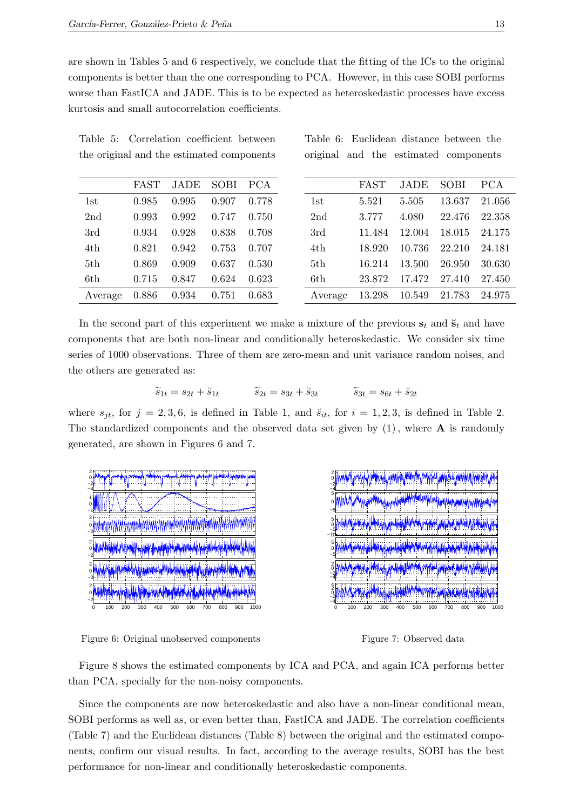are shown in Tables 5 and 6 respectively, we conclude that the fitting of the ICs to the original components is better than the one corresponding to PCA. However, in this case SOBI performs worse than FastICA and JADE. This is to be expected as heteroskedastic processes have excess kurtosis and small autocorrelation coefficients.

| FAST<br>JADE<br>SOBI<br><b>PCA</b><br>0.985<br>0.778<br>0.995<br>0.907<br>1st<br>0.993<br>0.992<br>2 <sub>nd</sub><br>0.750<br>0.747<br>0.934<br>0.928<br>0.838<br>0.708<br>3rd<br>0.707<br>0.821<br>0.942<br>0.753<br>4th<br>0.869<br>0.909<br>5th<br>0.637<br>0.530<br>0.623<br>6th<br>0.715<br>0.847<br>0.624<br>0.886<br>0.934<br>0.683<br>Average<br>0.751 |  |  |  |
|-----------------------------------------------------------------------------------------------------------------------------------------------------------------------------------------------------------------------------------------------------------------------------------------------------------------------------------------------------------------|--|--|--|
|                                                                                                                                                                                                                                                                                                                                                                 |  |  |  |
|                                                                                                                                                                                                                                                                                                                                                                 |  |  |  |
|                                                                                                                                                                                                                                                                                                                                                                 |  |  |  |
|                                                                                                                                                                                                                                                                                                                                                                 |  |  |  |
|                                                                                                                                                                                                                                                                                                                                                                 |  |  |  |
|                                                                                                                                                                                                                                                                                                                                                                 |  |  |  |
|                                                                                                                                                                                                                                                                                                                                                                 |  |  |  |
|                                                                                                                                                                                                                                                                                                                                                                 |  |  |  |

Table 5: Correlation coefficient between the original and the estimated components

Table 6: Euclidean distance between the original and the estimated components

|                 | <b>FAST</b> | JADE   | SOBI   | <b>PCA</b> |
|-----------------|-------------|--------|--------|------------|
| 1st             | 5.521       | 5.505  | 13.637 | 21.056     |
| 2 <sub>nd</sub> | 3.777       | 4.080  | 22.476 | 22.358     |
| 3rd             | 11.484      | 12.004 | 18.015 | 24.175     |
| 4th             | 18.920      | 10.736 | 22.210 | 24.181     |
| 5th             | 16.214      | 13.500 | 26.950 | 30.630     |
| 6th             | 23.872      | 17.472 | 27.410 | 27.450     |
| Average         | 13.298      | 10.549 | 21.783 | 24.975     |

In the second part of this experiment we make a mixture of the previous  $s_t$  and  $\check{s}_t$  and have components that are both non-linear and conditionally heteroskedastic. We consider six time series of 1000 observations. Three of them are zero-mean and unit variance random noises, and the others are generated as:

$$
\widetilde{s}_{1t} = s_{2t} + \breve{s}_{1t} \qquad \qquad \widetilde{s}_{2t} = s_{3t} + \breve{s}_{3t} \qquad \qquad \widetilde{s}_{3t} = s_{6t} + \breve{s}_{2t}
$$

where  $s_{jt}$ , for  $j = 2, 3, 6$ , is defined in Table 1, and  $\breve{s}_{it}$ , for  $i = 1, 2, 3$ , is defined in Table 2. The standardized components and the observed data set given by  $(1)$ , where **A** is randomly generated, are shown in Figures 6 and 7.



Figure 6: Original unobserved components

Figure 7: Observed data

n yn yn yn

Figure 8 shows the estimated components by ICA and PCA, and again ICA performs better than PCA, specially for the non-noisy components.

Since the components are now heteroskedastic and also have a non-linear conditional mean, SOBI performs as well as, or even better than, FastICA and JADE. The correlation coefficients (Table 7) and the Euclidean distances (Table 8) between the original and the estimated components, confirm our visual results. In fact, according to the average results, SOBI has the best performance for non-linear and conditionally heteroskedastic components.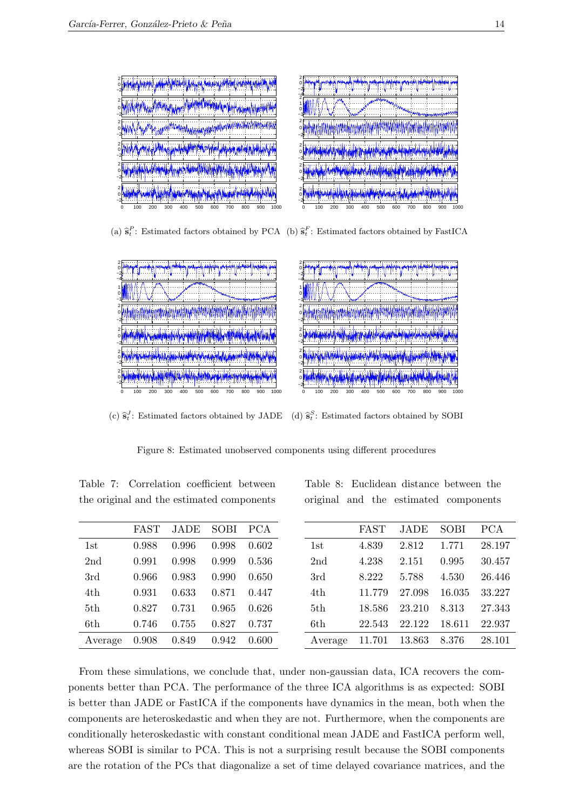

(a)  $\hat{\mathbf{s}}_t^P$ : Estimated factors obtained by PCA (b)  $\hat{\mathbf{s}}_t^F$ : Estimated factors obtained by FastICA



(c)  $\hat{\mathbf{s}}_t^J$ : Estimated factors obtained by JADE (d)  $\hat{\mathbf{s}}_t^S$ : Estimated factors obtained by SOBI

Figure 8: Estimated unobserved components using different procedures

|                 | FAST  | JADE  | SOBI  | <b>PCA</b> |
|-----------------|-------|-------|-------|------------|
| 1st             | 0.988 | 0.996 | 0.998 | 0.602      |
| 2 <sub>nd</sub> | 0.991 | 0.998 | 0.999 | 0.536      |
| 3rd             | 0.966 | 0.983 | 0.990 | 0.650      |
| 4th             | 0.931 | 0.633 | 0.871 | 0.447      |
| 5th             | 0.827 | 0.731 | 0.965 | 0.626      |
| 6th             | 0.746 | 0.755 | 0.827 | 0.737      |
| Average         | 0.908 | 0.849 | 0.942 | 0.600      |

Table 7: Correlation coefficient between the original and the estimated components

Table 8: Euclidean distance between the original and the estimated components

|                 | FAST   | JADE   | SOBI   | PCA    |
|-----------------|--------|--------|--------|--------|
| 1st             | 4.839  | 2.812  | 1.771  | 28.197 |
| 2 <sub>nd</sub> | 4.238  | 2.151  | 0.995  | 30.457 |
| 3rd             | 8.222  | 5.788  | 4.530  | 26.446 |
| 4th             | 11.779 | 27.098 | 16.035 | 33.227 |
| 5th             | 18.586 | 23.210 | 8.313  | 27.343 |
| 6th             | 22.543 | 22.122 | 18.611 | 22.937 |
| Average         | 11.701 | 13.863 | 8.376  | 28.101 |

From these simulations, we conclude that, under non-gaussian data, ICA recovers the components better than PCA. The performance of the three ICA algorithms is as expected: SOBI is better than JADE or FastICA if the components have dynamics in the mean, both when the components are heteroskedastic and when they are not. Furthermore, when the components are conditionally heteroskedastic with constant conditional mean JADE and FastICA perform well, whereas SOBI is similar to PCA. This is not a surprising result because the SOBI components are the rotation of the PCs that diagonalize a set of time delayed covariance matrices, and the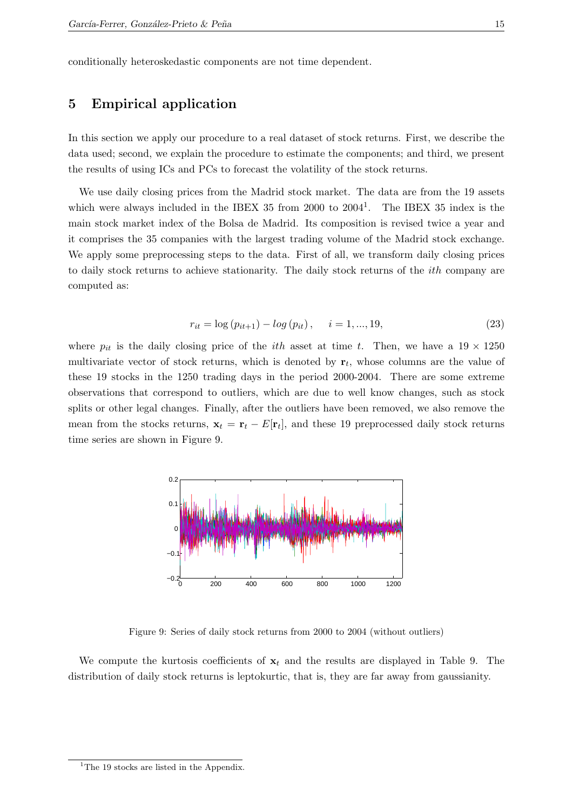conditionally heteroskedastic components are not time dependent.

# 5 Empirical application

In this section we apply our procedure to a real dataset of stock returns. First, we describe the data used; second, we explain the procedure to estimate the components; and third, we present the results of using ICs and PCs to forecast the volatility of the stock returns.

We use daily closing prices from the Madrid stock market. The data are from the 19 assets which were always included in the IBEX 35 from 2000 to 2004<sup>1</sup>. The IBEX 35 index is the main stock market index of the Bolsa de Madrid. Its composition is revised twice a year and it comprises the 35 companies with the largest trading volume of the Madrid stock exchange. We apply some preprocessing steps to the data. First of all, we transform daily closing prices to daily stock returns to achieve stationarity. The daily stock returns of the ith company are computed as:

$$
r_{it} = \log (p_{it+1}) - \log (p_{it}), \quad i = 1, ..., 19,
$$
\n(23)

where  $p_{it}$  is the daily closing price of the *ith* asset at time t. Then, we have a  $19 \times 1250$ multivariate vector of stock returns, which is denoted by  $r_t$ , whose columns are the value of these 19 stocks in the 1250 trading days in the period 2000-2004. There are some extreme observations that correspond to outliers, which are due to well know changes, such as stock splits or other legal changes. Finally, after the outliers have been removed, we also remove the mean from the stocks returns,  $\mathbf{x}_t = \mathbf{r}_t - E[\mathbf{r}_t]$ , and these 19 preprocessed daily stock returns time series are shown in Figure 9.



Figure 9: Series of daily stock returns from 2000 to 2004 (without outliers)

We compute the kurtosis coefficients of  $x_t$  and the results are displayed in Table 9. The distribution of daily stock returns is leptokurtic, that is, they are far away from gaussianity.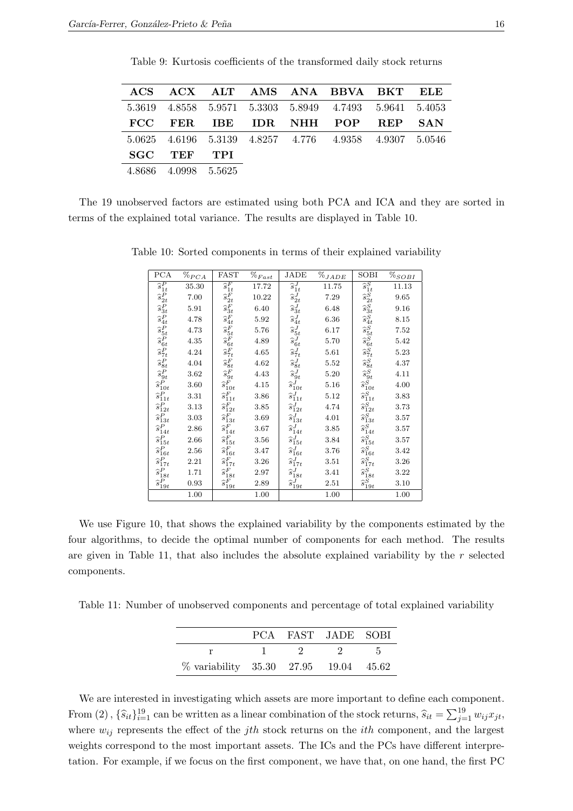|        |               |     |  | ACS ACX ALT AMS ANA BBVA BKT ELE                        |            |
|--------|---------------|-----|--|---------------------------------------------------------|------------|
|        |               |     |  | 5.3619 4.8558 5.9571 5.3303 5.8949 4.7493 5.9641 5.4053 |            |
|        |               |     |  | FCC FER IBE IDR NHH POP REP                             | <b>SAN</b> |
|        |               |     |  | 5.0625 4.6196 5.3139 4.8257 4.776 4.9358 4.9307 5.0546  |            |
|        | SGC TEF       | TPI |  |                                                         |            |
| 4 8686 | 4.0998 5.5625 |     |  |                                                         |            |

Table 9: Kurtosis coefficients of the transformed daily stock returns

The 19 unobserved factors are estimated using both PCA and ICA and they are sorted in terms of the explained total variance. The results are displayed in Table 10.

| PCA                                                                                                                                                   | $\%_{PCA}$ | <b>FAST</b>                                                                                                         | $\%_{Fast}$ | JADE                        | $\%_{JADE}$ | SOBI                                                                                                                                                            | $\%_{SOBI}$ |
|-------------------------------------------------------------------------------------------------------------------------------------------------------|------------|---------------------------------------------------------------------------------------------------------------------|-------------|-----------------------------|-------------|-----------------------------------------------------------------------------------------------------------------------------------------------------------------|-------------|
| $\overline{\hat{s}^P_{1t}}$                                                                                                                           | 35.30      | $\widehat{s}_{1t}^F$                                                                                                | 17.72       | $\overline{\hat{s}^J_{1t}}$ | 11.75       | $\overline{\hat{s}^S_{1t}}$                                                                                                                                     | 11.13       |
|                                                                                                                                                       | 7.00       |                                                                                                                     | 10.22       | $\widehat{s}^{J}_{2t}$      | 7.29        |                                                                                                                                                                 | 9.65        |
|                                                                                                                                                       | 5.91       |                                                                                                                     | 6.40        | $\widehat{s}_{3t}^J$        | 6.48        |                                                                                                                                                                 | 9.16        |
|                                                                                                                                                       | 4.78       |                                                                                                                     | 5.92        | $\widehat{s}^{J}_{4t}$      | 6.36        |                                                                                                                                                                 | 8.15        |
| $\begin{array}{c} \widehat{s_2} \; \widehat{s_3} \; \widehat{s_4} \; \widehat{s_5} \; \widehat{s_6} \; \widehat{s_7} \; \widehat{s_7} \; \end{array}$ | 4.73       | $\begin{array}{c} \widehat{s}^F_{2t} \\ \widehat{s}^F_{3t} \\ \widehat{s}^F_{4t} \\ \widehat{s}^F_{5t} \end{array}$ | 5.76        | $\widehat{s}^{J}_{5t}$      | 6.17        | $\begin{array}{c} \widehat{s}^S_{2t} \\ \widehat{s}^S_{3t} \\ \widehat{s}^S_{4t} \\ \widehat{s}^S_{5t} \\ \widehat{s}^S_{6t} \\ \widehat{s}^S_{7t} \end{array}$ | 7.52        |
|                                                                                                                                                       | 4.35       |                                                                                                                     | 4.89        | $\widehat{s}^{J}_{6t}$      | 5.70        |                                                                                                                                                                 | 5.42        |
|                                                                                                                                                       | 4.24       | $\hat{s}^F_{6t}$<br>$\hat{s}^F_{7t}$                                                                                | 4.65        | $\widehat{s}_{7t}^J$        | 5.61        |                                                                                                                                                                 | 5.23        |
| $\begin{array}{c} \hat{s}^P_{8t}\\ \hat{s}^P_{9t} \end{array}$                                                                                        | 4.04       | $\hat{s}^F_{8t}$<br>$\hat{s}^F_{9t}$                                                                                | 4.62        | $\widehat{s}^{J}_{8t}$      | 5.52        | $\hat{s}^S_{8t}$<br>$\hat{s}^S_{9t}$                                                                                                                            | 4.37        |
|                                                                                                                                                       | 3.62       |                                                                                                                     | 4.43        | $\widehat{s}^{J}_{9t}$      | 5.20        |                                                                                                                                                                 | 4.11        |
| $\widetilde{s^P_{10t}}$                                                                                                                               | 3.60       | $\widehat{s}_{10t}^F$                                                                                               | 4.15        | $\hat{s}_{10t}^J$           | 5.16        | $\widehat{s}_{10t}^S$                                                                                                                                           | 4.00        |
| $\hat{s}^P_{11t}$                                                                                                                                     | 3.31       | $\widehat{s}_{11t}^F$                                                                                               | 3.86        | $\hat{s}^J_{11t}$           | 5.12        | $\begin{array}{c} \widehat{s}^S_{11t}\\ \widehat{s}^S_{12t}\\ \widehat{s}^S_{13t}\\ \widehat{s}^S_{14t}\\ \widehat{s}^S_{15t} \end{array}$                      | 3.83        |
| $\hat{s}^P_{12t}$<br>$\hat{s}^P_{13t}$                                                                                                                | 3.13       | $\widehat{s}_{12t}^F$                                                                                               | 3.85        | $\widehat{s}_{12t}^J$       | 4.74        |                                                                                                                                                                 | 3.73        |
|                                                                                                                                                       | 3.03       | $\widehat{s}_{13t}^F$                                                                                               | 3.69        | $\hat{s}^J_{13t}$           | 4.01        |                                                                                                                                                                 | 3.57        |
| $\widehat{s}_{14t}^P$                                                                                                                                 | 2.86       | $\widehat{s}_{14t}^F$                                                                                               | 3.67        | $\hat{s}^J_{14t}$           | 3.85        |                                                                                                                                                                 | 3.57        |
| $\hat{s}^P_{15t}$                                                                                                                                     | 2.66       | $\widehat{s}_{15t}^F$                                                                                               | 3.56        | $\widehat{s}_{15t}^J$       | 3.84        |                                                                                                                                                                 | 3.57        |
| $\widehat{s}_{16t}^{P}$                                                                                                                               | 2.56       | $\widehat{s}_{16t}^F$                                                                                               | 3.47        | $\hat{s}^J_{16t}$           | 3.76        | $\widehat{s}_{16t}^S$                                                                                                                                           | 3.42        |
| $\hat{s}^P_{17t}$                                                                                                                                     | 2.21       | $\widehat{s}_{17t}^F$                                                                                               | 3.26        | $\hat{s}^J_{17t}$           | 3.51        | $\widehat{s}^S_{17t}$                                                                                                                                           | 3.26        |
| $\widehat{s}^P_{18t}$                                                                                                                                 | 1.71       | $\widehat{s}_{18t}^{F}$                                                                                             | 2.97        | $\widehat{s}_{18t}^J$       | 3.41        | $\widehat{s}_{18t}^{S}$                                                                                                                                         | 3.22        |
| $\widehat{s}^P_{19t}$                                                                                                                                 | 0.93       | $\widehat{s}_{19t}^{F}$                                                                                             | 2.89        | $\hat{s}^J_{19t}$           | 2.51        | $\widehat{s}_{19t}^S$                                                                                                                                           | 3.10        |
|                                                                                                                                                       | 1.00       |                                                                                                                     | 1.00        |                             | 1.00        |                                                                                                                                                                 | 1.00        |

Table 10: Sorted components in terms of their explained variability

We use Figure 10, that shows the explained variability by the components estimated by the four algorithms, to decide the optimal number of components for each method. The results are given in Table 11, that also includes the absolute explained variability by the  $r$  selected components.

Table 11: Number of unobserved components and percentage of total explained variability

|                                       |                                            | PCA FAST JADE SOBI |                |
|---------------------------------------|--------------------------------------------|--------------------|----------------|
|                                       | $\begin{array}{ccc} 1 & 9 & 9 \end{array}$ |                    | 5 <sub>5</sub> |
| % variability 35.30 27.95 19.04 45.62 |                                            |                    |                |

We are interested in investigating which assets are more important to define each component. From (2),  $\{\widehat{s}_{it}\}_{i=1}^{19}$  can be written as a linear combination of the stock returns,  $\widehat{s}_{it} = \sum_{j=1}^{19} w_{ij} x_{jt}$ , where  $w_{ij}$  represents the effect of the jth stock returns on the *ith* component, and the largest weights correspond to the most important assets. The ICs and the PCs have different interpretation. For example, if we focus on the first component, we have that, on one hand, the first PC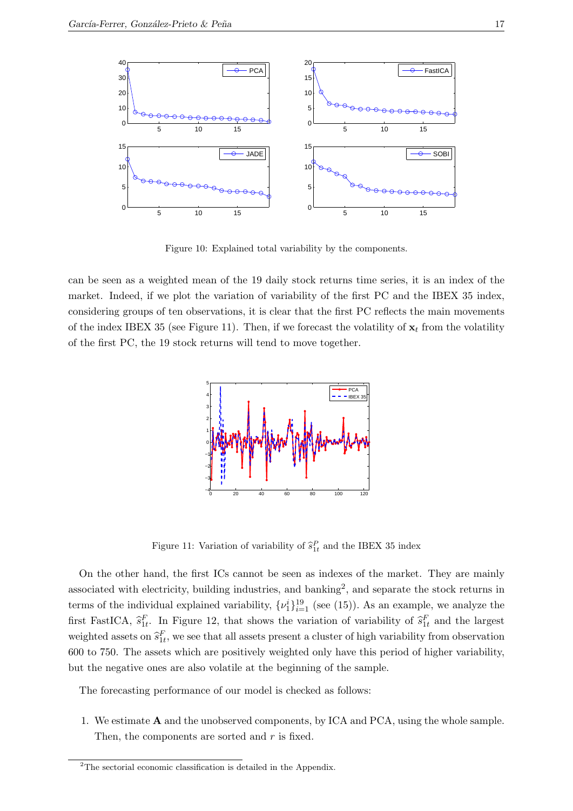

Figure 10: Explained total variability by the components.

can be seen as a weighted mean of the 19 daily stock returns time series, it is an index of the market. Indeed, if we plot the variation of variability of the first PC and the IBEX 35 index, considering groups of ten observations, it is clear that the first PC reflects the main movements of the index IBEX 35 (see Figure 11). Then, if we forecast the volatility of  $x_t$  from the volatility of the first PC, the 19 stock returns will tend to move together.



Figure 11: Variation of variability of  $\hat{s}_{1t}^P$  and the IBEX 35 index

On the other hand, the first ICs cannot be seen as indexes of the market. They are mainly associated with electricity, building industries, and banking<sup>2</sup>, and separate the stock returns in terms of the individual explained variability,  $\{\nu_1^i\}_{i=1}^{19}$  (see (15)). As an example, we analyze the first FastICA,  $\hat{s}_{1t}^F$ . In Figure 12, that shows the variation of variability of  $\hat{s}_{1t}^F$  and the largest weighted assets on  $\hat{s}_{1t}^F$ , we see that all assets present a cluster of high variability from observation 600 to 750. The assets which are positively weighted only have this period of higher variability, but the negative ones are also volatile at the beginning of the sample.

The forecasting performance of our model is checked as follows:

1. We estimate A and the unobserved components, by ICA and PCA, using the whole sample. Then, the components are sorted and r is fixed.

 $2^2$ The sectorial economic classification is detailed in the Appendix.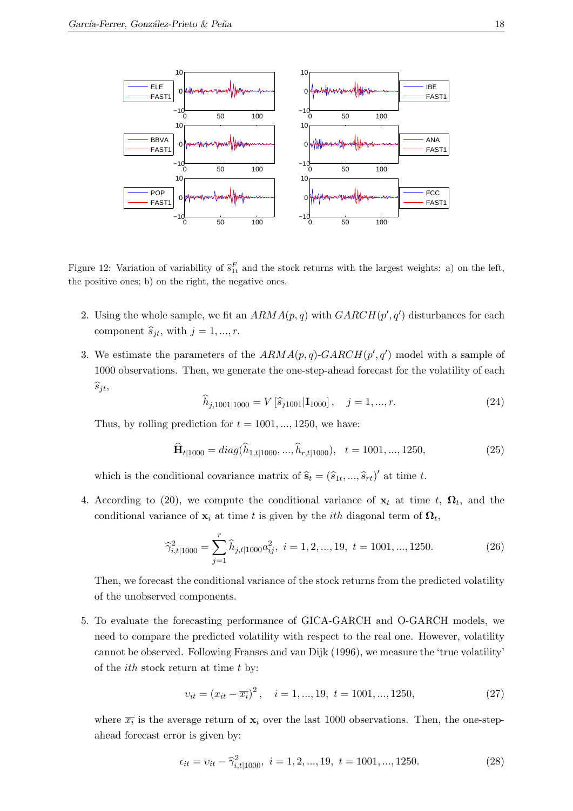

Figure 12: Variation of variability of  $\hat{s}_{1t}^F$  and the stock returns with the largest weights: a) on the left, the positive ones; b) on the right, the negative ones.

- 2. Using the whole sample, we fit an  $ARMA(p, q)$  with  $GARCH(p', q')$  disturbances for each component  $\hat{s}_{it}$ , with  $j = 1, ..., r$ .
- 3. We estimate the parameters of the  $ARMA(p, q)$ -GARCH $(p', q')$  model with a sample of 1000 observations. Then, we generate the one-step-ahead forecast for the volatility of each  $\widehat{s}_{jt},$

$$
\widehat{h}_{j,1001|1000} = V\left[\widehat{s}_{j1001}|\mathbf{I}_{1000}\right], \quad j = 1, ..., r. \tag{24}
$$

Thus, by rolling prediction for  $t = 1001, \ldots, 1250$ , we have:

$$
\widehat{\mathbf{H}}_{t|1000} = diag(\widehat{h}_{1,t|1000}, ..., \widehat{h}_{r,t|1000}), \quad t = 1001, ..., 1250,
$$
\n(25)

which is the conditional covariance matrix of  $\hat{\mathbf{s}}_t = (\hat{s}_1_t, ..., \hat{s}_r_t)'$  at time t.

4. According to (20), we compute the conditional variance of  $\mathbf{x}_t$  at time t,  $\mathbf{\Omega}_t$ , and the conditional variance of  $\mathbf{x}_i$  at time t is given by the *i*th diagonal term of  $\mathbf{\Omega}_t$ ,

$$
\widehat{\gamma}_{i,t|1000}^2 = \sum_{j=1}^r \widehat{h}_{j,t|1000} a_{ij}^2, \ i = 1, 2, ..., 19, \ t = 1001, ..., 1250.
$$
 (26)

Then, we forecast the conditional variance of the stock returns from the predicted volatility of the unobserved components.

5. To evaluate the forecasting performance of GICA-GARCH and O-GARCH models, we need to compare the predicted volatility with respect to the real one. However, volatility cannot be observed. Following Franses and van Dijk (1996), we measure the 'true volatility' of the  $ith$  stock return at time  $t$  by:

$$
v_{it} = (x_{it} - \overline{x_i})^2, \quad i = 1, ..., 19, \ t = 1001, ..., 1250,
$$
\n
$$
(27)
$$

where  $\overline{x_i}$  is the average return of  $\mathbf{x}_i$  over the last 1000 observations. Then, the one-stepahead forecast error is given by:

$$
\epsilon_{it} = v_{it} - \hat{\gamma}_{i,t|1000}^2, \ i = 1, 2, ..., 19, \ t = 1001, ..., 1250.
$$
 (28)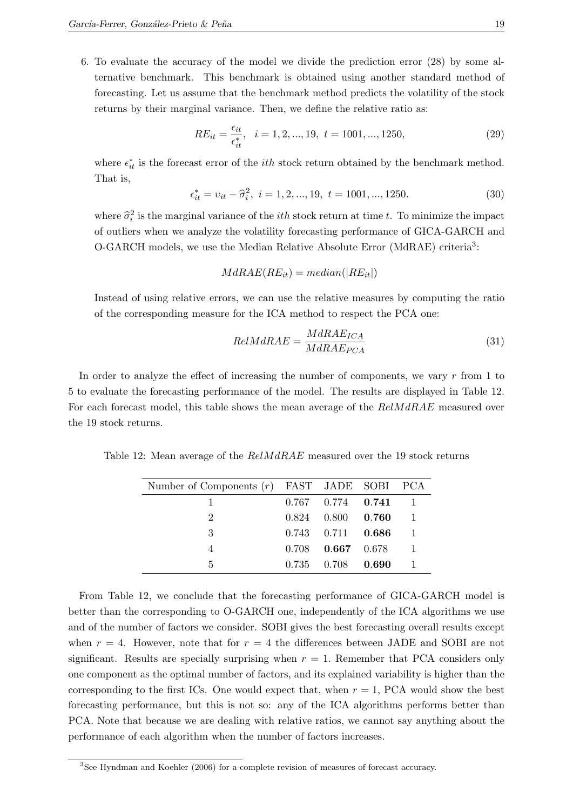6. To evaluate the accuracy of the model we divide the prediction error (28) by some alternative benchmark. This benchmark is obtained using another standard method of forecasting. Let us assume that the benchmark method predicts the volatility of the stock returns by their marginal variance. Then, we define the relative ratio as:

$$
RE_{it} = \frac{\epsilon_{it}}{\epsilon_{it}^*}, \quad i = 1, 2, ..., 19, \ t = 1001, ..., 1250,
$$
\n(29)

where  $\epsilon_{it}^*$  is the forecast error of the *ith* stock return obtained by the benchmark method. That is,

$$
\epsilon_{it}^* = v_{it} - \hat{\sigma}_i^2, \ i = 1, 2, ..., 19, \ t = 1001, ..., 1250.
$$
 (30)

where  $\hat{\sigma}_i^2$  is the marginal variance of the *ith* stock return at time t. To minimize the impact of outliers when we analyze the volatility forecasting performance of GICA-GARCH and O-GARCH models, we use the Median Relative Absolute Error (MdRAE) criteria<sup>3</sup>:

$$
MdRAE(RE_{it}) = median(|RE_{it}|)
$$

Instead of using relative errors, we can use the relative measures by computing the ratio of the corresponding measure for the ICA method to respect the PCA one:

$$
RelM dRAE = \frac{M dRAE_{ICA}}{M dRAE_{PCA}}
$$
\n(31)

In order to analyze the effect of increasing the number of components, we vary r from 1 to 5 to evaluate the forecasting performance of the model. The results are displayed in Table 12. For each forecast model, this table shows the mean average of the  $ReM dRAE$  measured over the 19 stock returns.

Table 12: Mean average of the  $ReM dRAE$  measured over the 19 stock returns

| Number of Components $(r)$ FAST JADE SOBI PCA |                           |  |
|-----------------------------------------------|---------------------------|--|
|                                               | $0.767$ $0.774$ $0.741$ 1 |  |
| $\mathcal{D}_{\mathcal{L}}$                   | $0.824$ $0.800$ $0.760$   |  |
| 3                                             | $0.743$ $0.711$ $0.686$   |  |
|                                               | $0.708$ $0.667$ $0.678$   |  |
| 5                                             | $0.735$ $0.708$ $0.690$   |  |

From Table 12, we conclude that the forecasting performance of GICA-GARCH model is better than the corresponding to O-GARCH one, independently of the ICA algorithms we use and of the number of factors we consider. SOBI gives the best forecasting overall results except when  $r = 4$ . However, note that for  $r = 4$  the differences between JADE and SOBI are not significant. Results are specially surprising when  $r = 1$ . Remember that PCA considers only one component as the optimal number of factors, and its explained variability is higher than the corresponding to the first ICs. One would expect that, when  $r = 1$ , PCA would show the best forecasting performance, but this is not so: any of the ICA algorithms performs better than PCA. Note that because we are dealing with relative ratios, we cannot say anything about the performance of each algorithm when the number of factors increases.

<sup>&</sup>lt;sup>3</sup>See Hyndman and Koehler (2006) for a complete revision of measures of forecast accuracy.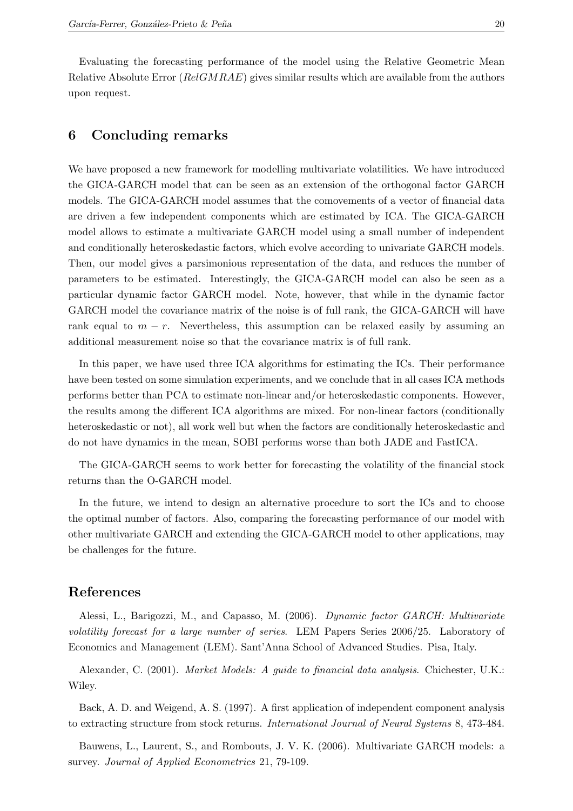Evaluating the forecasting performance of the model using the Relative Geometric Mean Relative Absolute Error ( $RelGMRAE$ ) gives similar results which are available from the authors upon request.

# 6 Concluding remarks

We have proposed a new framework for modelling multivariate volatilities. We have introduced the GICA-GARCH model that can be seen as an extension of the orthogonal factor GARCH models. The GICA-GARCH model assumes that the comovements of a vector of financial data are driven a few independent components which are estimated by ICA. The GICA-GARCH model allows to estimate a multivariate GARCH model using a small number of independent and conditionally heteroskedastic factors, which evolve according to univariate GARCH models. Then, our model gives a parsimonious representation of the data, and reduces the number of parameters to be estimated. Interestingly, the GICA-GARCH model can also be seen as a particular dynamic factor GARCH model. Note, however, that while in the dynamic factor GARCH model the covariance matrix of the noise is of full rank, the GICA-GARCH will have rank equal to  $m - r$ . Nevertheless, this assumption can be relaxed easily by assuming an additional measurement noise so that the covariance matrix is of full rank.

In this paper, we have used three ICA algorithms for estimating the ICs. Their performance have been tested on some simulation experiments, and we conclude that in all cases ICA methods performs better than PCA to estimate non-linear and/or heteroskedastic components. However, the results among the different ICA algorithms are mixed. For non-linear factors (conditionally heteroskedastic or not), all work well but when the factors are conditionally heteroskedastic and do not have dynamics in the mean, SOBI performs worse than both JADE and FastICA.

The GICA-GARCH seems to work better for forecasting the volatility of the financial stock returns than the O-GARCH model.

In the future, we intend to design an alternative procedure to sort the ICs and to choose the optimal number of factors. Also, comparing the forecasting performance of our model with other multivariate GARCH and extending the GICA-GARCH model to other applications, may be challenges for the future.

### References

Alessi, L., Barigozzi, M., and Capasso, M. (2006). Dynamic factor GARCH: Multivariate volatility forecast for a large number of series. LEM Papers Series 2006/25. Laboratory of Economics and Management (LEM). Sant'Anna School of Advanced Studies. Pisa, Italy.

Alexander, C. (2001). Market Models: A guide to financial data analysis. Chichester, U.K.: Wiley.

Back, A. D. and Weigend, A. S. (1997). A first application of independent component analysis to extracting structure from stock returns. International Journal of Neural Systems 8, 473-484.

Bauwens, L., Laurent, S., and Rombouts, J. V. K. (2006). Multivariate GARCH models: a survey. Journal of Applied Econometrics 21, 79-109.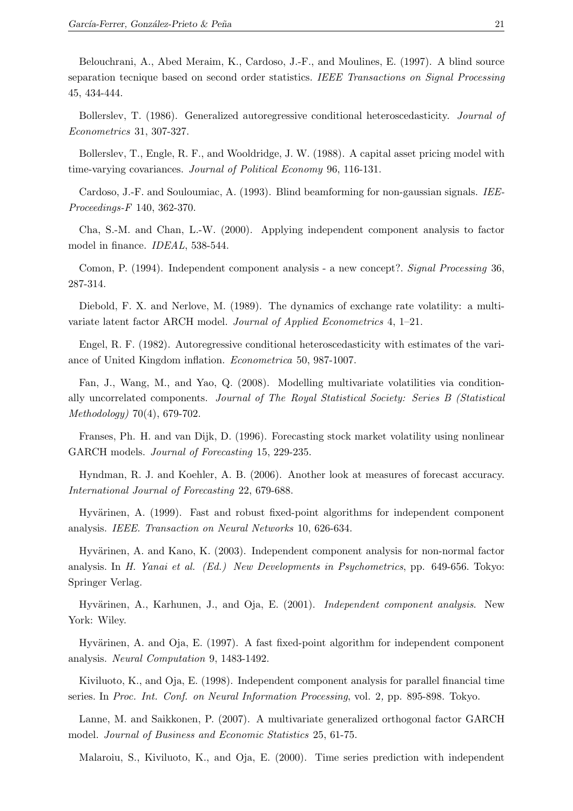Belouchrani, A., Abed Meraim, K., Cardoso, J.-F., and Moulines, E. (1997). A blind source separation tecnique based on second order statistics. IEEE Transactions on Signal Processing 45, 434-444.

Bollerslev, T. (1986). Generalized autoregressive conditional heteroscedasticity. Journal of Econometrics 31, 307-327.

Bollerslev, T., Engle, R. F., and Wooldridge, J. W. (1988). A capital asset pricing model with time-varying covariances. Journal of Political Economy 96, 116-131.

Cardoso, J.-F. and Souloumiac, A. (1993). Blind beamforming for non-gaussian signals. IEE-Proceedings-F 140, 362-370.

Cha, S.-M. and Chan, L.-W. (2000). Applying independent component analysis to factor model in finance. IDEAL, 538-544.

Comon, P. (1994). Independent component analysis - a new concept?. Signal Processing 36, 287-314.

Diebold, F. X. and Nerlove, M. (1989). The dynamics of exchange rate volatility: a multivariate latent factor ARCH model. Journal of Applied Econometrics 4, 1–21.

Engel, R. F. (1982). Autoregressive conditional heteroscedasticity with estimates of the variance of United Kingdom inflation. Econometrica 50, 987-1007.

Fan, J., Wang, M., and Yao, Q. (2008). Modelling multivariate volatilities via conditionally uncorrelated components. Journal of The Royal Statistical Society: Series B (Statistical Methodology) 70(4), 679-702.

Franses, Ph. H. and van Dijk, D. (1996). Forecasting stock market volatility using nonlinear GARCH models. Journal of Forecasting 15, 229-235.

Hyndman, R. J. and Koehler, A. B. (2006). Another look at measures of forecast accuracy. International Journal of Forecasting 22, 679-688.

Hyvärinen, A. (1999). Fast and robust fixed-point algorithms for independent component analysis. IEEE. Transaction on Neural Networks 10, 626-634.

Hyvärinen, A. and Kano, K. (2003). Independent component analysis for non-normal factor analysis. In H. Yanai et al. (Ed.) New Developments in Psychometrics, pp. 649-656. Tokyo: Springer Verlag.

Hyvärinen, A., Karhunen, J., and Oja, E. (2001). *Independent component analysis*. New York: Wiley.

Hyvärinen, A. and Oja, E. (1997). A fast fixed-point algorithm for independent component analysis. Neural Computation 9, 1483-1492.

Kiviluoto, K., and Oja, E. (1998). Independent component analysis for parallel financial time series. In Proc. Int. Conf. on Neural Information Processing, vol. 2, pp. 895-898. Tokyo.

Lanne, M. and Saikkonen, P. (2007). A multivariate generalized orthogonal factor GARCH model. Journal of Business and Economic Statistics 25, 61-75.

Malaroiu, S., Kiviluoto, K., and Oja, E. (2000). Time series prediction with independent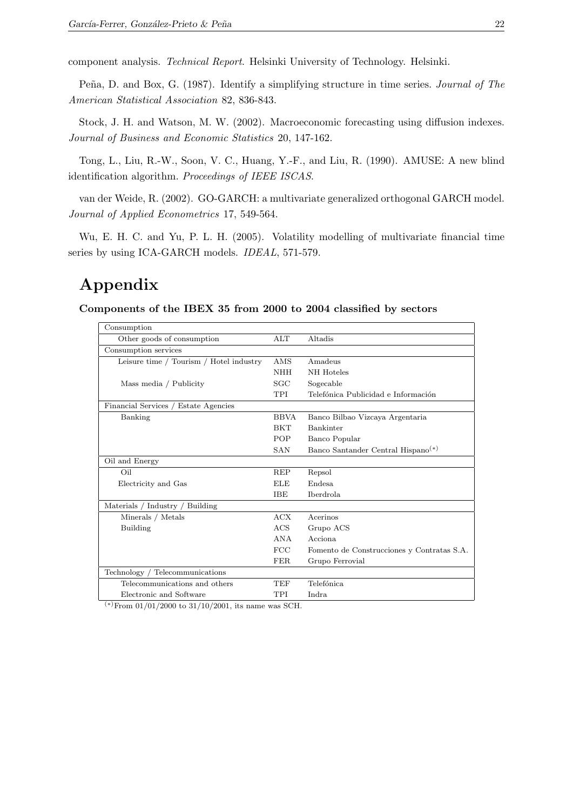component analysis. Technical Report. Helsinki University of Technology. Helsinki.

Peña, D. and Box, G. (1987). Identify a simplifying structure in time series. *Journal of The* American Statistical Association 82, 836-843.

Stock, J. H. and Watson, M. W. (2002). Macroeconomic forecasting using diffusion indexes. Journal of Business and Economic Statistics 20, 147-162.

Tong, L., Liu, R.-W., Soon, V. C., Huang, Y.-F., and Liu, R. (1990). AMUSE: A new blind identification algorithm. Proceedings of IEEE ISCAS.

van der Weide, R. (2002). GO-GARCH: a multivariate generalized orthogonal GARCH model. Journal of Applied Econometrics 17, 549-564.

Wu, E. H. C. and Yu, P. L. H. (2005). Volatility modelling of multivariate financial time series by using ICA-GARCH models. IDEAL, 571-579.

# Appendix

Components of the IBEX 35 from 2000 to 2004 classified by sectors

| Consumption                             |             |                                                |
|-----------------------------------------|-------------|------------------------------------------------|
| Other goods of consumption              | $\rm{ALT}$  | Altadis                                        |
| Consumption services                    |             |                                                |
| Leisure time / Tourism / Hotel industry | <b>AMS</b>  | Amadeus                                        |
|                                         | <b>NHH</b>  | NH Hoteles                                     |
| Mass media / Publicity                  | SGC         | Sogecable                                      |
|                                         | TPI         | Telefónica Publicidad e Información            |
| Financial Services / Estate Agencies    |             |                                                |
| Banking                                 | <b>BBVA</b> | Banco Bilbao Vizcaya Argentaria                |
|                                         | <b>BKT</b>  | <b>Bankinter</b>                               |
|                                         | <b>POP</b>  | Banco Popular                                  |
|                                         | <b>SAN</b>  | Banco Santander Central Hispano <sup>(*)</sup> |
| Oil and Energy                          |             |                                                |
| Oil                                     | <b>REP</b>  | Repsol                                         |
| Electricity and Gas                     | ELE         | <b>Endesa</b>                                  |
|                                         | <b>IBE</b>  | <b>Iberdrola</b>                               |
| Materials / Industry / Building         |             |                                                |
| Minerals / Metals                       | ACX         | Acerinos                                       |
| Building                                | ACS         | Grupo ACS                                      |
|                                         | ANA         | Acciona                                        |
|                                         | FCC         | Fomento de Construcciones y Contratas S.A.     |
|                                         | FER.        | Grupo Ferrovial                                |
| Technology / Telecommunications         |             |                                                |
| Telecommunications and others           | TEF         | Telefónica                                     |
| Electronic and Software                 | TPI         | Indra                                          |

 $(*)$ From 01/01/2000 to 31/10/2001, its name was SCH.